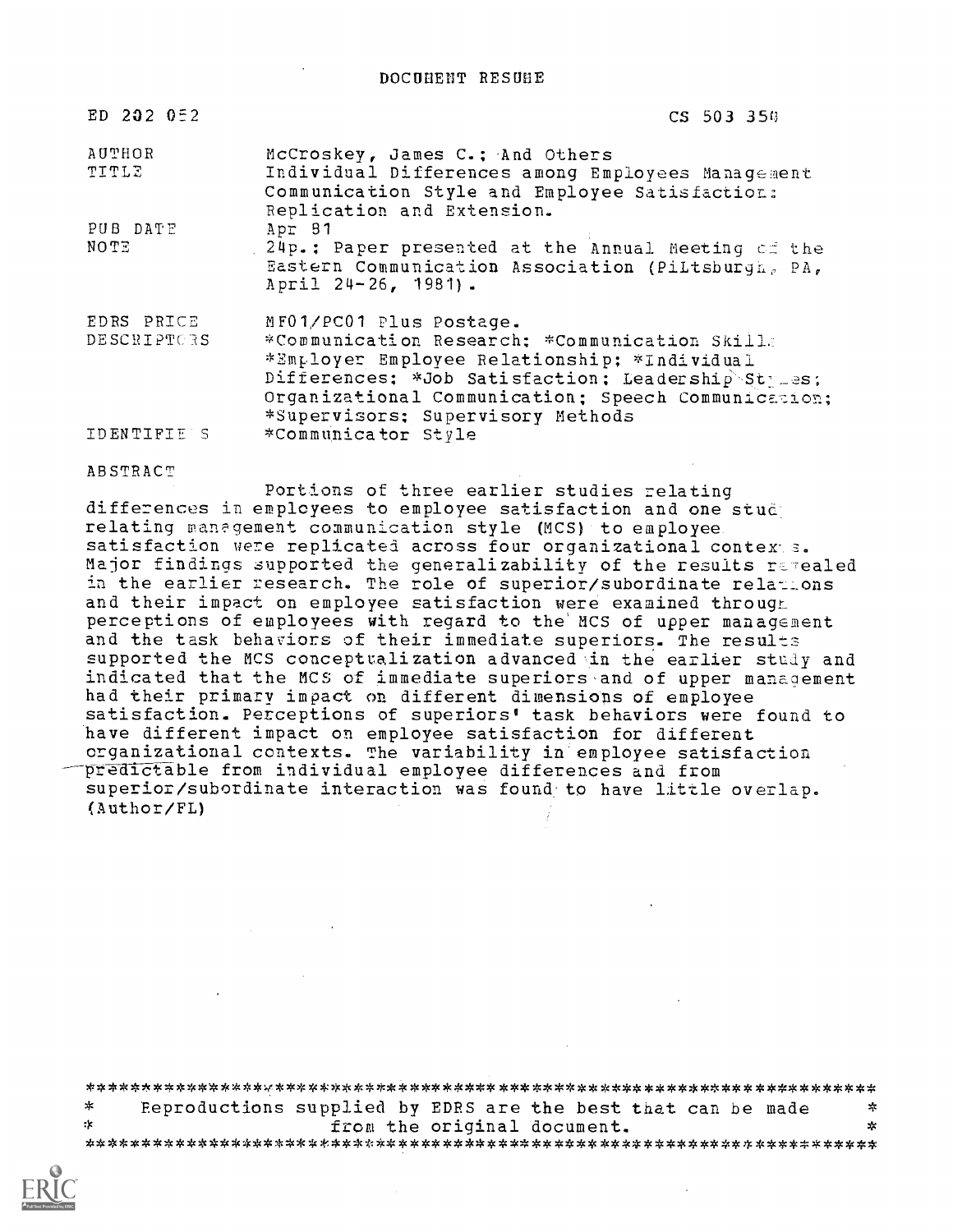DOCUBENT RESUBE

| ED 202 052                | CS 503 354                                                                                                                                                                                                                                                                 |
|---------------------------|----------------------------------------------------------------------------------------------------------------------------------------------------------------------------------------------------------------------------------------------------------------------------|
| AUTHOR<br>TITLE           | McCroskey, James C.; And Others<br>Individual Differences among Employees Management<br>Communication Style and Employee Satisfaction:<br>Replication and Extension.                                                                                                       |
| PUB DATE<br>NOTE          | Apr 81<br>124p.: Paper presented at the Annual Meeting of the<br>Eastern Communication Association (PiLtsburgh, PA,<br>April 24-26, 1981).                                                                                                                                 |
| EDRS PRICE<br>DESCRIPTORS | MF01/PC01 Plus Postage.<br>*Communication Research; *Communication Skill.<br>*Employer Employee Relationship; *Individual<br>Differences; *Job Satisfaction; Leadership Stres;<br>Organizational Communication; Speech Communication;<br>*Supervisors: Supervisory Methods |
| IDENTIFIE S               | *Communicator Style                                                                                                                                                                                                                                                        |

**ABSTRACT** 

Portions of three earlier studies relating differences in employees to employee satisfaction and one stud relating management communication style (MCS) to employee satisfaction were replicated across four organizational contex s. Major findings supported the generalizability of the results remealed in the earlier research. The role of superior/subordinate relations and their impact on employee satisfaction were examined through perceptions of employees with regard to the MCS of upper management and the task behaviors of their immediate superiors. The results supported the MCS conceptualization advanced in the earlier study and indicated that the MCS of immediate superiors and of upper management had their primary impact on different dimensions of employee satisfaction. Perceptions of superiors' task behaviors were found to have different impact on employee satisfaction for different organizational contexts. The variability in employee satisfaction predictable from individual employee differences and from superior/subordinate interaction was found to have little overlap. (Author/FL)

Reproductions supplied by EDRS are the best that can be made  $\frac{1}{2\pi}$  $\mathbf{x}$ from the original document. \* 

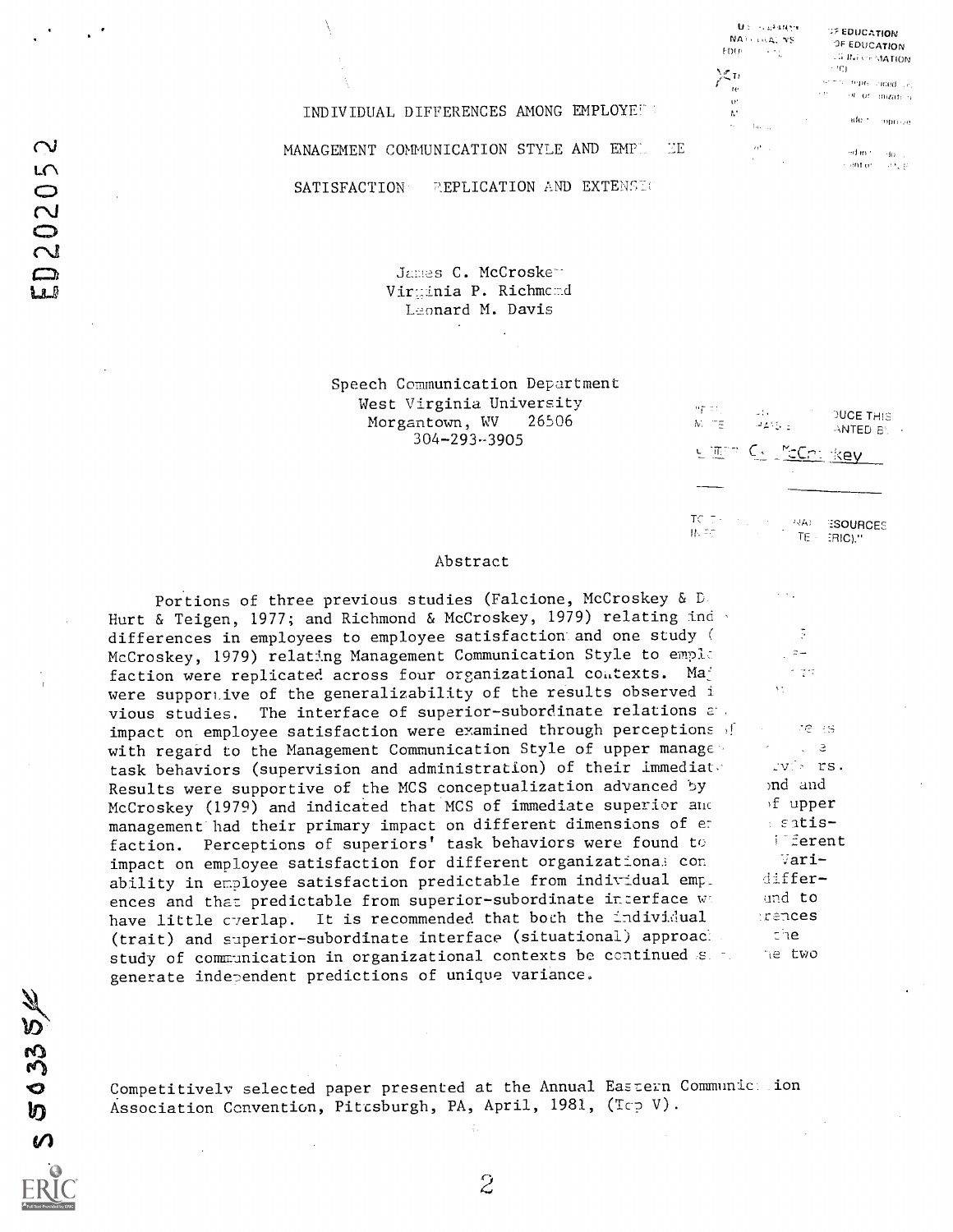| Universitete<br>NAT LOAD VS<br>EDU<br><b>SAME</b><br>$\frac{1}{2}$ $\frac{d}{dx}$ T)<br>$\mathbf{f}$ | <b>DE EDUCATION</b><br><b>JF EDUCATION</b><br>- 3 IM CEMATION<br>- 101<br>entry teprocriticad or |
|------------------------------------------------------------------------------------------------------|--------------------------------------------------------------------------------------------------|
| o.<br>A.<br>à.<br><b>Last and</b><br>×.                                                              | 171 - H or mizati n<br>ade to improve                                                            |
| τF<br>÷.<br>×,<br>×                                                                                  | ed mit i lager,<br>niemt en lillare, d                                                           |

 $\Xi\mathrm{E}$ 

# INDIVIDUAL DIFFERENCES AMONG EMPLOYEED MANAGEMENT COMMUNICATION STYLE AND EMPLE

SATISFACTION REPLICATION AND EXTENSION

> James C. McCroske-Virginia P. Richmond Leonard M. Davis

Speech Communication Department West Virginia University Morgantown, WV 26506  $304 - 293 - 3905$ 

| एक पर<br>N. | u ba<br>神盗物的名               | <b>DUCE THIS</b><br>ANTED BY TH |  |
|-------------|-----------------------------|---------------------------------|--|
|             | uman Ck i <u>McChi</u> ikey |                                 |  |
|             |                             |                                 |  |

 $TC = -$ 23A) **ESOURCES**  $W \approx$ TE - ERIC)."

 $\alpha = \alpha_{\rm min}$ 

 $\overline{z}$ 

de es  $\epsilon = 1/3$ 

 $TV$   $\cdot$   $rs$ .

md and

of upper

 $:$  satisi ferent

vari-

differund to

 $r$ ances

the.

he two

 $\downarrow$   $z \gamma$  pr

 $\chi(\tau)$ 

#### Abstract

Portions of three previous studies (Falcione, McCroskey & D Hurt & Teigen, 1977; and Richmond & McCroskey, 1979) relating ind differences in employees to employee satisfaction and one study ( McCroskey, 1979) relating Management Communication Style to emplo faction were replicated across four organizational contexts. Maj were supportive of the generalizability of the results observed i vious studies. The interface of superior-subordinate relations and impact on employee satisfaction were examined through perceptions of with regard to the Management Communication Style of upper manage task behaviors (supervision and administration) of their immediate Results were supportive of the MCS conceptualization advanced by McCroskey (1979) and indicated that MCS of immediate superior and management had their primary impact on different dimensions of e: faction. Perceptions of superiors' task behaviors were found to impact on employee satisfaction for different organizational con ability in employee satisfaction predictable from individual emp. ences and that predictable from superior-subordinate interface was have little cyerlap. It is recommended that both the individual (trait) and superior-subordinate interface (situational) approach study of communication in organizational contexts be continued s. t. generate independent predictions of unique variance.

Competitively selected paper presented at the Annual Eastern Communication Association Convention, Pitcsburgh, PA, April, 1981, (Tep V).

 $55035$ 

 $\sim$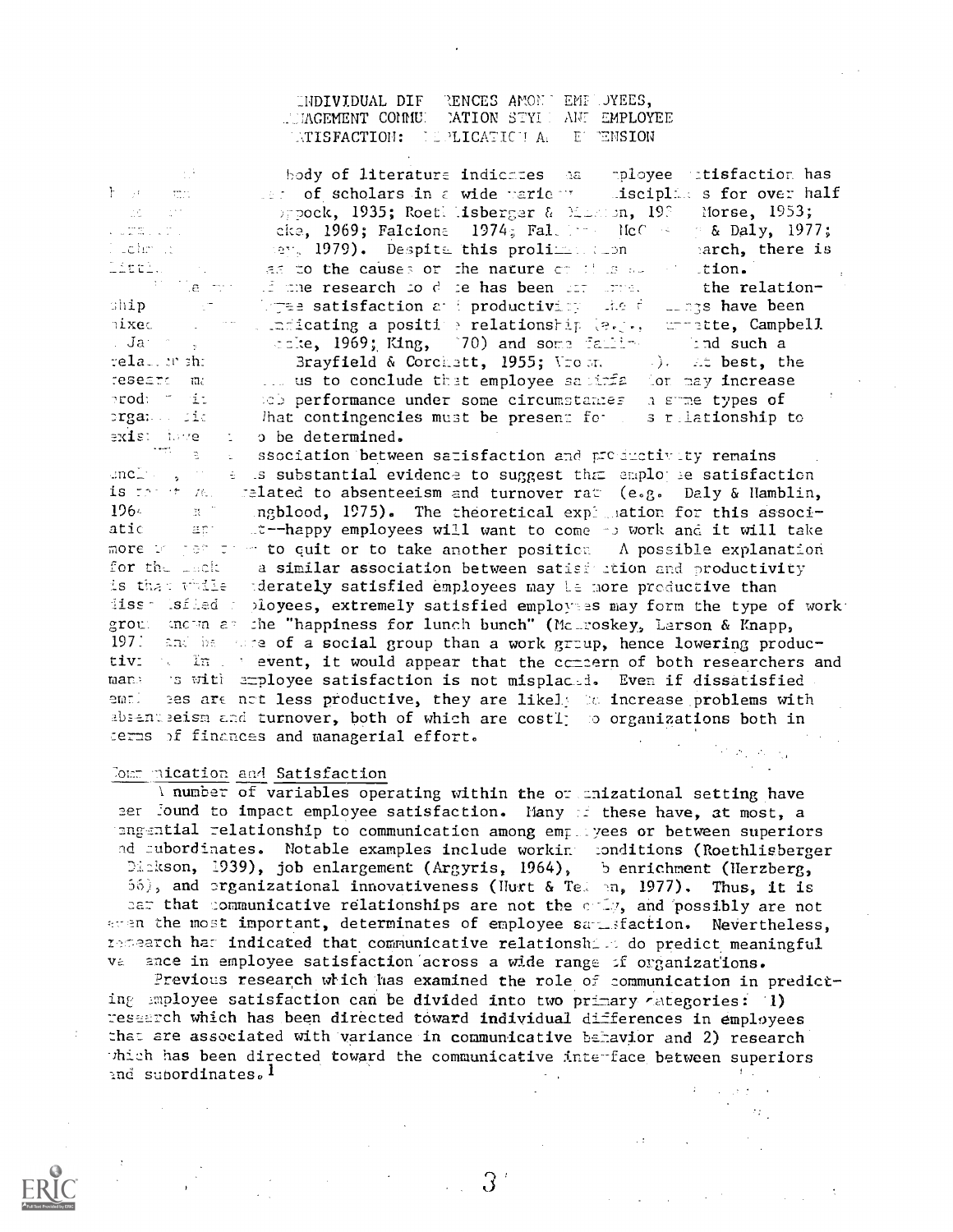#### INDIVIDUAL DIF RENCES AMON BMF DYEES, . IAGEMENT COMMUI MATION STYLE ANI EMPLOYEE ATISFACTION: LEPLICATION A E TEMSION

| $\sim 10^4$                                                                                                                                                                                                                                 | atisfaction has<br>body of literature indicates has aployee               |
|---------------------------------------------------------------------------------------------------------------------------------------------------------------------------------------------------------------------------------------------|---------------------------------------------------------------------------|
| Figure 10 mm                                                                                                                                                                                                                                | ser of scholars in a wide warders and isotplies of over half              |
| <b>1997年4月</b>                                                                                                                                                                                                                              | proock, 1935; Roetl Hsberger & Milkion, 198<br>Morse, 1953;               |
| a d <del>e la</del> provincia de la provincia de la provincia de la provincia de la provincia de la provincia de la provin<br>Al mangola de la provincia de la provincia de la provincia de la provincia de la provincia de la provincia de | cke, $1969$ ; Falcions $1974$ ; Falsiers McC same<br>$\sim$ & Daly, 1977; |
| i lolm li                                                                                                                                                                                                                                   | say, 1979). Despita this prolimant con the sarch, there is                |
| Littl. Sam                                                                                                                                                                                                                                  | as to the causes or the nature of this service tion.                      |
| and the file and                                                                                                                                                                                                                            | informe research to dote has been coronavely<br>the relation-             |
| $\sinh p$ $\cdots$                                                                                                                                                                                                                          | Where satisfaction and productivity when will have been                   |
| nixed a man                                                                                                                                                                                                                                 | a midicating a position relationship (e.g.,<br>unnatte, Campbell          |
| a James S                                                                                                                                                                                                                                   | $\sim$ acke, 1969; King, $\sim$ 70) and some family $\sim$ and such a     |
| relation shi                                                                                                                                                                                                                                | Brayfield & Corchatt, 1955; Vrosn<br>$\cdot$ ). At best, the              |
| researd ma                                                                                                                                                                                                                                  | us to conclude that employee satisfa<br>for hay increase                  |
| prod: " it                                                                                                                                                                                                                                  | tob performance under some circumstances<br>$\alpha$ sume types of        |
| organ dia                                                                                                                                                                                                                                   | s rilationship to<br>That contingencies must be present for the           |
| exis: have                                                                                                                                                                                                                                  | be determined.                                                            |

a ssociation between satisfaction and productivity remains , is substantial evidence to suggest that emplote satisfaction  $\mathbb{C} \mathbf{n}$ C $\mathbb{C}$  and is for it me. Salated to absenteeism and turnover rat (e.g. Daly & Hamblin, mgblood, 1975). The theoretical explanation for this associ- $196 \sim 10^{11}$  M  $^{-11}$ atic ...=-happy employees will want to come -> work and it will take more in job to meto quit or to take another position. A possible explanation for the lack a similar association between satisfultion and productivity is that while iderately satisfied employees may be more productive than iiss isfied: ployees, extremely satisfied employees may form the type of work grous and an the "happiness for lunch bunch" (Mauroskey, Larson & Knapp,  $197$ and be serie of a social group than a work group, hence lowering productiv: in the event, it would appear that the compared both researchers and is with employee satisfaction is not misplaced. Even if dissatisfied  $\text{man}$ :  $em:$ Bes are not less productive, they are likely be increase problems with absent seism and turnover, both of which are costly to organizations both in cerms of finances and managerial effort.

### Jomm mication and Satisfaction

I number of variables operating within the or inizational setting have ser found to impact employee satisfaction. Many if these have, at most, a angential relationship to communication among employees or between superiors nd aubordinates. Notable examples include working conditions (Roethlisberger Dickson, 1939), job enlargement (Argyris, 1964), benrichment (Herzberg, 56), and organizational innovativeness (Hurt & Tellen, 1977). Thus, it is car that communicative relationships are not the entry, and possibly are not aren the most important, determinates of employee samisfaction. Nevertheless, redearch has indicated that communicative relationships do predict meaningful va ance in employee satisfaction across a wide range if organizations.

Previous research which has examined the role of communication in predicting employee satisfaction can be divided into two primary categories: 1) research which has been directed toward individual differences in employees that are associated with variance in communicative behavior and 2) research thich has been directed toward the communicative interface between superiors and subordinates.<sup>1</sup>  $\mathbf{F}(\mathbf{x})$  $\sim$   $^{-1}$ 



 $\mathcal{S}^{\perp}$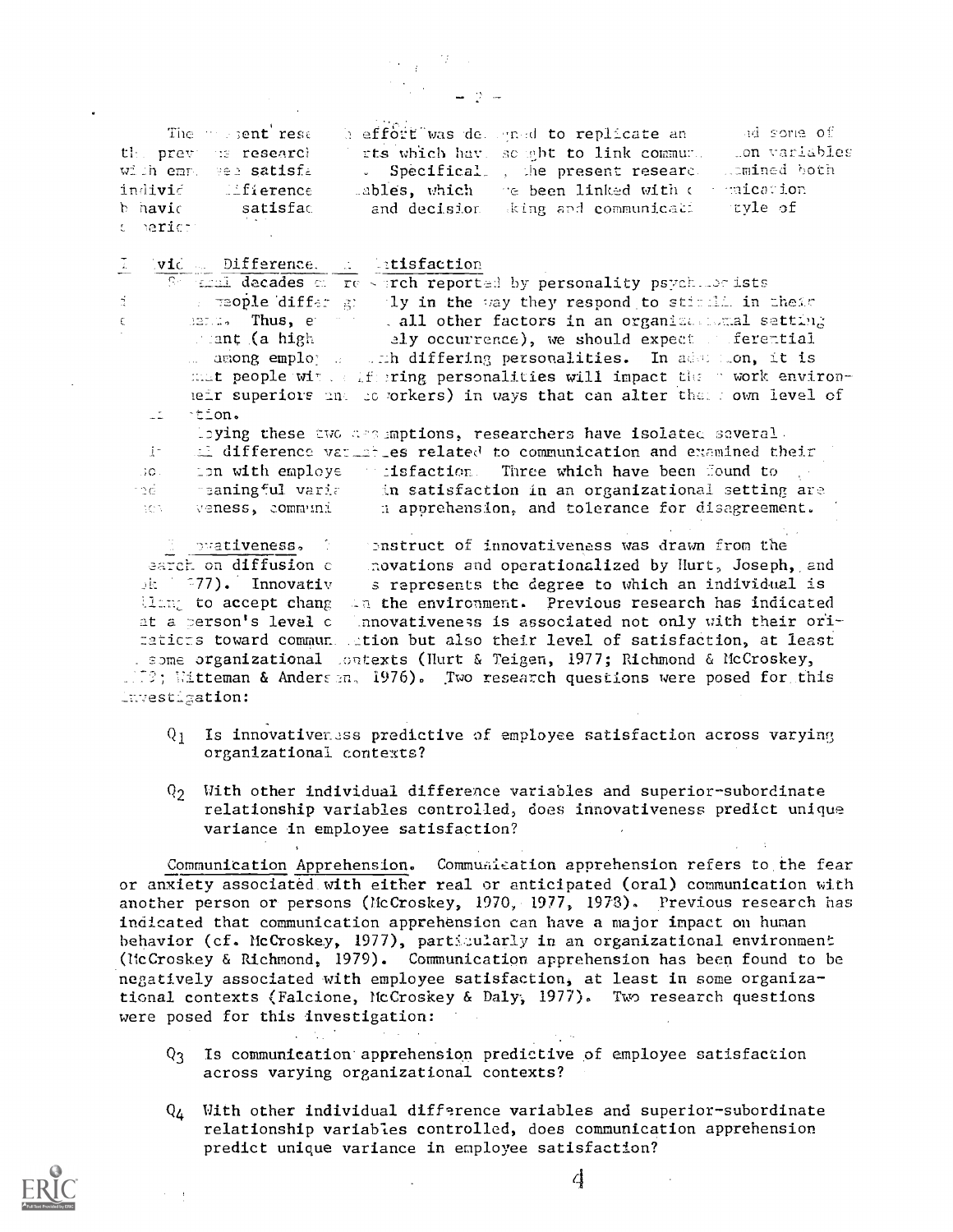|          | The sent rese         | is effort was deligned to replicate an           | ad sorie of l |
|----------|-----------------------|--------------------------------------------------|---------------|
|          | the previous research | rts which have so wht to link commun.            | Lon variables |
|          | with employee satisfa | . Specifical , the present research chained both |               |
|          | individent infierence | Lables, which we been linked with a maicarion    |               |
| b havic  | sat <b>i</b> sfac     | and decision aking and communicati arityle of    |               |
| t period |                       |                                                  |               |

vid Difference. htisfaction I  $\frac{C}{C}$  and decades  $\pi$  re  $\sim$  arch reported by personality psychmomists Í. a meople differ g: 1y in the way they respond to stimula in their all other factors in an organizational setting sering Thus, et al. Ċ ∵:ant (a high aly occurrence), we should expect inferential m among employ a with differing personalities. In addition, it is mut people wit . If ming personalities will impact the moork environteir superiors in to orkers) in ways that can alter that cown level of stion.  $\pm 1$ loying these two assimptions, researchers have isolated several.  $i$ . difference variation related to communication and examined their

ton with employe wrisfaction. Three which have been found to  $30<$ reaningful varia in satisfaction in an organizational setting are veness, communi in apprehension, and tolerance for disagreement. rdé l veness, communi tet -

ponstruct of innovativeness was drawn from the ovat**iveness.** 2 earch on diffusion c movations and operationalized by Hurt, Joseph, and the 177). Innovative is represents the degree to which an individual is ilang to accept chang an the environment. Previous research has indicated at a person's level c innovativeness is associated not only with their orifations toward communication but also their level of satisfaction, at least . some organizational contexts (Hurt & Teigen, 1977; Richmond & McCroskey, 1000; Witteman & Anderson, 1976). Two research questions were posed for this Investigation:

- $Q_1$  Is innovativeness predictive of employee satisfaction across varying organizational contexts?
- Q<sub>2</sub> With other individual difference variables and superior-subordinate relationship variables controlled, does innovativeness predict unique variance in employee satisfaction?

Communication Apprehension. Communication apprehension refers to the fear or anxiety associated with either real or anticipated (oral) communication with another person or persons (McCroskey, 1970, 1977, 1978). Previous research has indicated that communication apprehension can have a major impact on human behavior (cf. McCroskey, 1977), particularly in an organizational environment (NcCroskey & Richmond, 1979). Communication apprehension has been found to be negatively associated with employee satisfaction, at least in some organizational contexts (Falcione, McCroskey & Daly, 1977). Two research questions were posed for this investigation:

- Q<sub>3</sub> Is communication apprehension predictive of employee satisfaction across varying organizational contexts?
- With other individual difference variables and superior-subordinate  $Q_{\mathbf{A}}$ relationship variables controlled, does communication apprehension predict unique variance in employee satisfaction?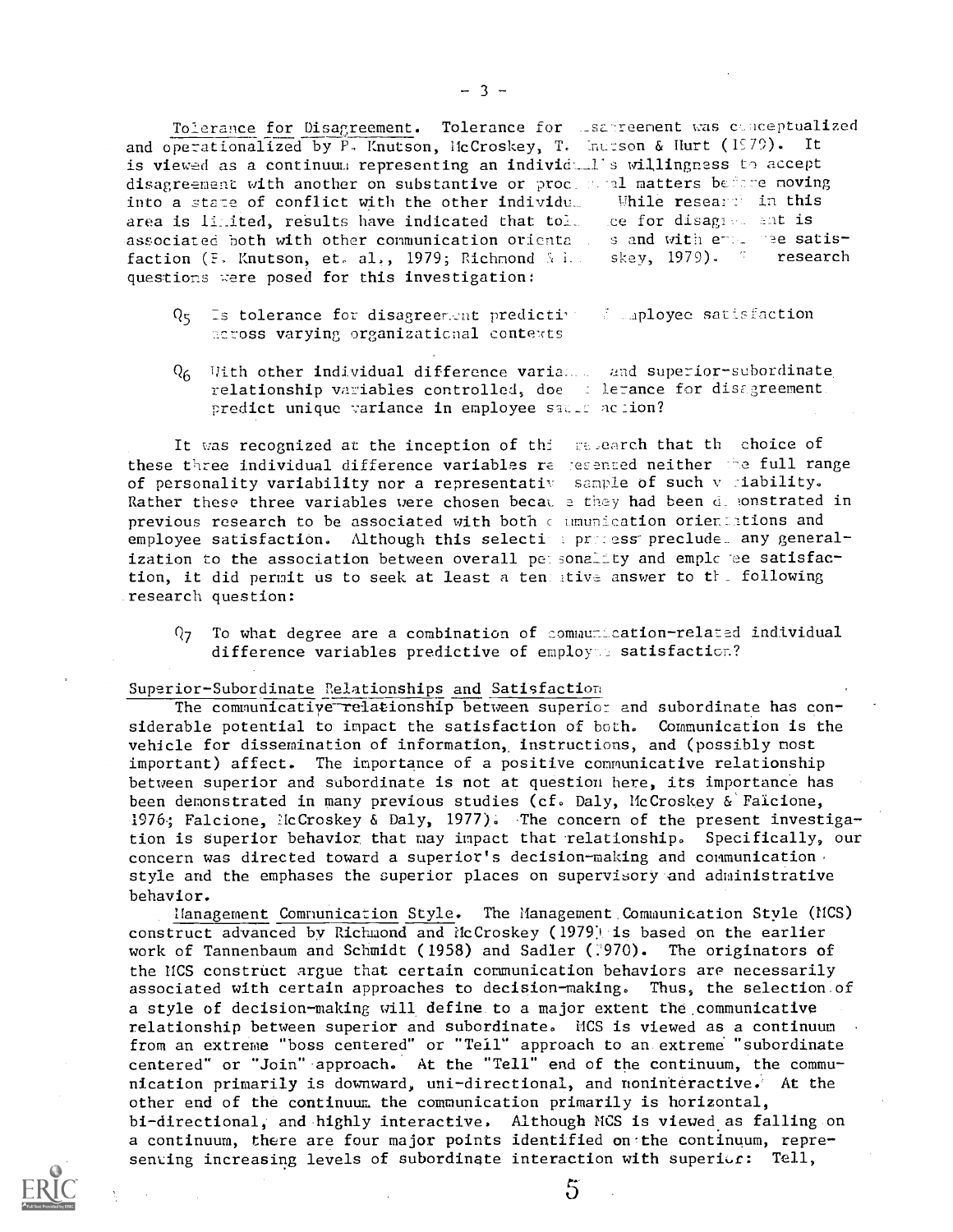Tolerance for Disagreement. Tolerance for assureement was conceptualized and operationalized by P. Knutson, McCroskey, T. Inteson & Hurt (1979). It is viewed as a continuum representing an individual's willingness to accept disagreement with another on substantive or procedural matters before moving While researth in this into a state of conflict with the other individu. ce for disagree ant is area is limited, results have indicated that tol. associated both with other communication orienta . s and with end whe satisskey, 1979). 7 research faction (F. Knutson, et. al., 1979; Richmond S.i. questions were posed for this investigation:

- Q5 Is tolerance for disagreement prediction of maployee satisfaction across varying organizational contexts
- $Q_6$  With other individual difference variance and superior-subordinate relationship variables controlled, doe : lerance for disagreement predict unique variance in employee sacial action?

It was recognized at the inception of this repearch that the choice of these three individual difference variables re resented neither the full range of personality variability nor a representativ sample of such v riability. Rather these three variables were chosen becat a they had been depostrated in previous research to be associated with both c umunication orientations and employee satisfaction. Although this selecti process preclude. any generalization to the association between overall personality and emplomee satisfaction, it did permit us to seek at least a tentative answer to the following research question:

To what degree are a combination of communication-related individual  $Q_{\mathbf{Z}}$ difference variables predictive of employse satisfaction?

### Superior-Subordinate Relationships and Satisfaction

The communicative relationship between superior and subordinate has considerable potential to impact the satisfaction of both. Communication is the vehicle for dissemination of information, instructions, and (possibly most important) affect. The importance of a positive communicative relationship between superior and subordinate is not at question here, its importance has been demonstrated in many previous studies (cf. Daly, McCroskey & Faicione, 1976; Falcione, McCroskey & Daly, 1977). The concern of the present investigation is superior behavior that may impact that relationship. Specifically, our concern was directed toward a superior's decision-making and communication. style and the emphases the superior places on supervisory and administrative behavior.

Hanagement Communication Style. The Management Communication Style (NCS) construct advanced by Richmond and McCroskey (1979) is based on the earlier work of Tannenbaum and Schmidt (1958) and Sadler (3970). The originators of the MCS construct argue that certain communication behaviors are necessarily associated with certain approaches to decision-making. Thus, the selection of a style of decision-making will define to a major extent the communicative relationship between superior and subordinate. MCS is viewed as a continuum from an extreme "boss centered" or "Teil" approach to an extreme "subordinate centered" or "Join" approach. At the "Tell" end of the continuum, the communication primarily is downward, uni-directional, and noninteractive. At the other end of the continuum the communication primarily is horizontal, bi-directional, and highly interactive. Although MCS is viewed as falling on a continuum, there are four major points identified on the continuum, representing increasing levels of subordinate interaction with superior: Tell,

5

 $-3 -$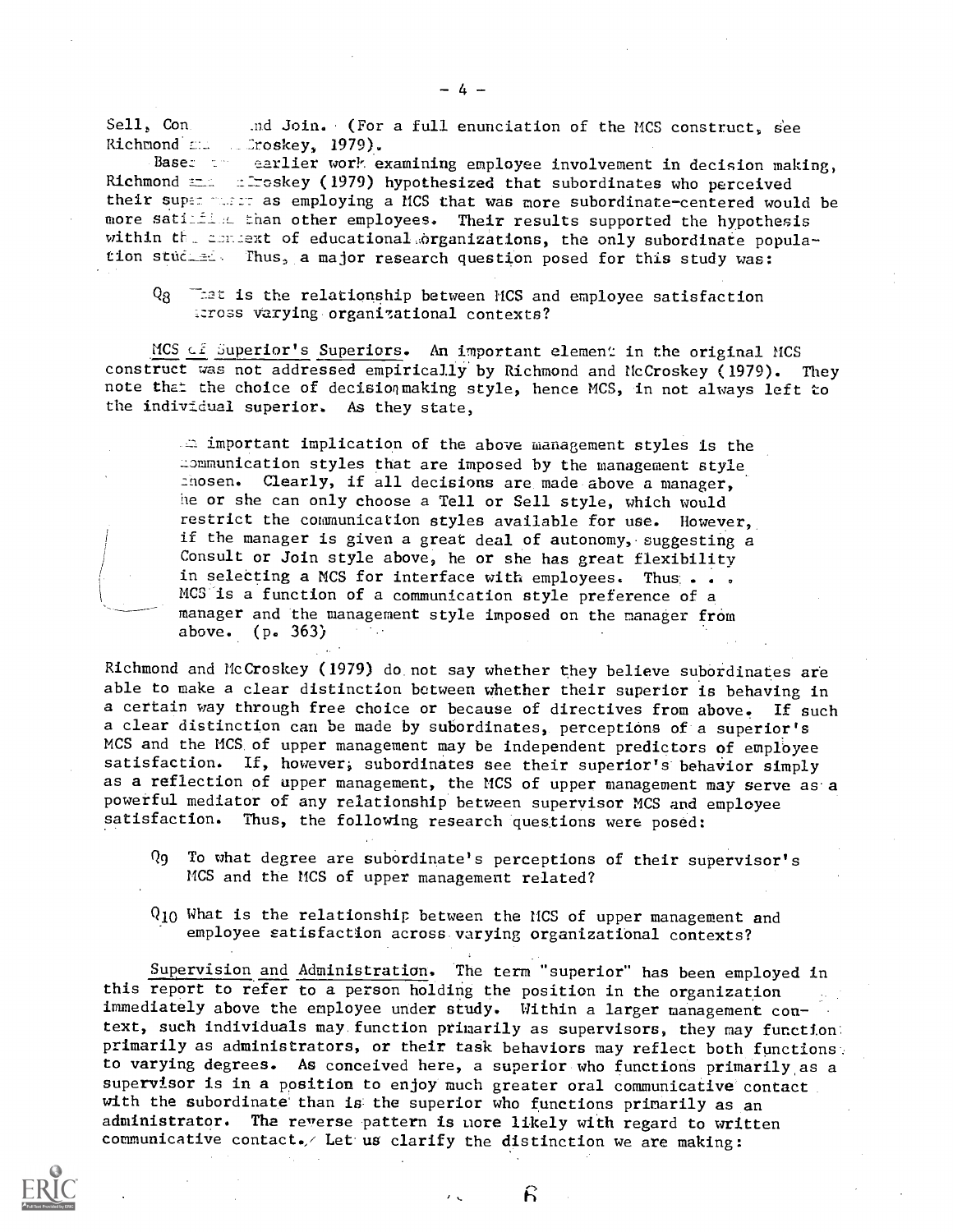Sell, Con. ... and Join. (For a full enunciation of the MCS construct, see Richmond' M.:.. ... Croskey, 1979).

Base. : earlier work examining employee involvement in decision making, Richmond  $\equiv$  :  $\pm$   $\infty$  (1979) hypothesized that subordinates who perceived their super manner as employing a MCS that was more subordinate-centered would be more satifflue than other employees. Their results supported the hypothesis within the consext of educational organizations, the only subordinate population studied. Thus, a major research question posed for this study was:

 $Q_8$  is the relationship between MCS and employee satisfaction stross varying organizational contexts?

MCS of Superior's Superiors. An important element in the original MCS construct was not addressed empirically by Richmond and McCroskey (1979). They note that the choice of decisionmaking style, hence MCS, in not always left to the individual superior. As they state,

 $\Box$  important implication of the above management styles is the :Lommunication styles that are imposed by the management style \_:nosen. Clearly, if all decisions are made above a manager, he or she can only choose a Tell or Sell style, which would restrict the communication styles available for use. However, if the manager is given a great deal of autonomy, suggesting a Consult or Join style above, he or she has great flexibility in selecting a MCS for interface with employees. Thus  $\ldots$ MCS is a function of a communication style preference of a manager and the management style imposed on the manager from above. (p. 363)

Richmond and McCroskey (1979) do. not say whether they believe subordinates are able to make a clear distinction between whether their superior is behaving in a certain way through free choice or because of directives from above. If such a clear distinction can be made by subordinates, perceptions of a superior's MCS and the MCS of upper management may be independent predictors of employee satisfaction. If, however, subordinates see their superior's behavior simply as a reflection of upper management, the MCS of upper management may serve as a powerful mediator of any relationship between supervisor MCS and employee satisfaction. Thus, the following research questions were posed:

- Q9 To what degree are subordinate's perceptions of their supervisor's MCS and the MCS of upper management related?
- $Q_{10}$  What is the relationship between the MCS of upper management and employee satisfaction across varying organizational contexts?

Supervision and Administration. The term "superior" has been employed in this report to refer to a person holding the position in the organization immediately above the employee under study. Within a larger management context, such individuals may function primarily as supervisors, they may function; primarily as administrators, or their task behaviors may reflect both functions, to varying degrees. As conceived here, a superior who functions primarily,as a supervisor is in a position to enjoy much greater oral communicative contact with the subordinate than is the superior who functions primarily as an administrator. The reverse pattern is more likely with regard to written communicative contact. Let us clarify the distinction we are making:

 $6 \epsilon$ 



- 4 -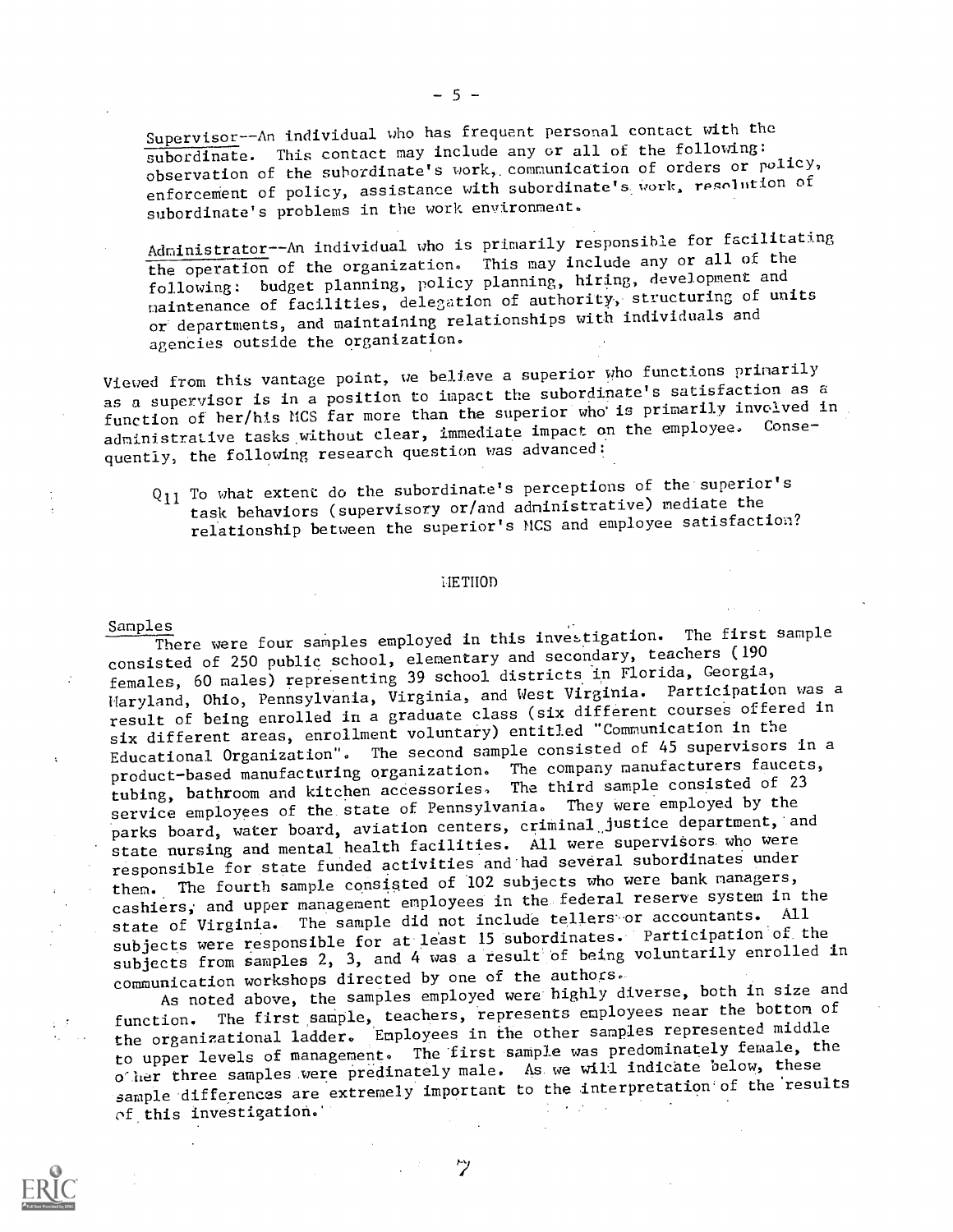Supervisor--An individual who has frequent personal contact with the subordinate. This contact may include any or all of the following: observation of the subordinate's work,. communication of orders or policy, enforcement of policy, assistance with subordinate's work, resolution of subordinate's problems in the work environment.

Administrator--An individual who is primarily responsible for facilitating the operation of the organization. This may include any or all of the following: budget planning, policy planning, hiring, development and maintenance of facilities, delegation of authority, structuring of units or departments, and maintaining relationships with individuals and agencies outside the organization.

Viewed from this vantage point, we believe a superior who functions prinarily as a supervisor is in a position to impact the subordinate's satisfaction as a function of her/his MCS far more than the superior who is primarily involved in administrative tasks without clear, immediate impact on the employee. Consequently, the following research question was advanced:

 $Q_{11}$  To what extent do the subordinate's perceptions of the superior's task behaviors (supervisory or/and administrative) mediate the relationship between the superior's MCS and employee satisfaction?

**METHOD** 

Samples There were four samples employed in this investigation. The first sample consisted of 250 public school, elementary and secondary, teachers (190 females, 60 males) representing 39 school districts in Florida, Georgia, Maryland, Ohio, Pennsylvania, Virginia, and West Virginia. Participation was a result of being enrolled in a graduate class (six different courses offered in six different areas, enrollment voluntary) entitled "Communication in the Educational Organization". The second sample consisted of 45 supervisors in a product-based manufacturing organization. The company manufacturers faucets, tubing, bathroom and kitchen acCessories, The third sample consisted of 23 service employees of the state of. Pennsylvania. They Were employed by the parks board, water board, aviation centers, criminal justice department, and state nursing and mental health facilities. All were supervisors who were responsible for state funded activities and'had several subordinates under them. The fourth sample consisted of 102 subjects who were bank managers, cashiers; and upper management employees in the federal reserve system in the state of Virginia. The sample did not include tellers or accountants. All subjects were responsible for at least 15 subordinates. Participation of the subjects from samples 2, 3, and 4 was a result' of being voluntarily enrolled in communication workshops directed by one of the authors.

As noted above, the samples employed were highly diverse, both in size and function. The first sample, teachers, represents employees near the bottom of the organizational ladder. Employees in the other samples represented middle to upper levels of management. The first sample was predominately female, the o her three samples were predinately male. As we will indicate below, these sample differences are extremely important to the interpretation of the results of this investigation.'



 $\ddot{\phantom{a}}$ 

 $-5 -$ 

ry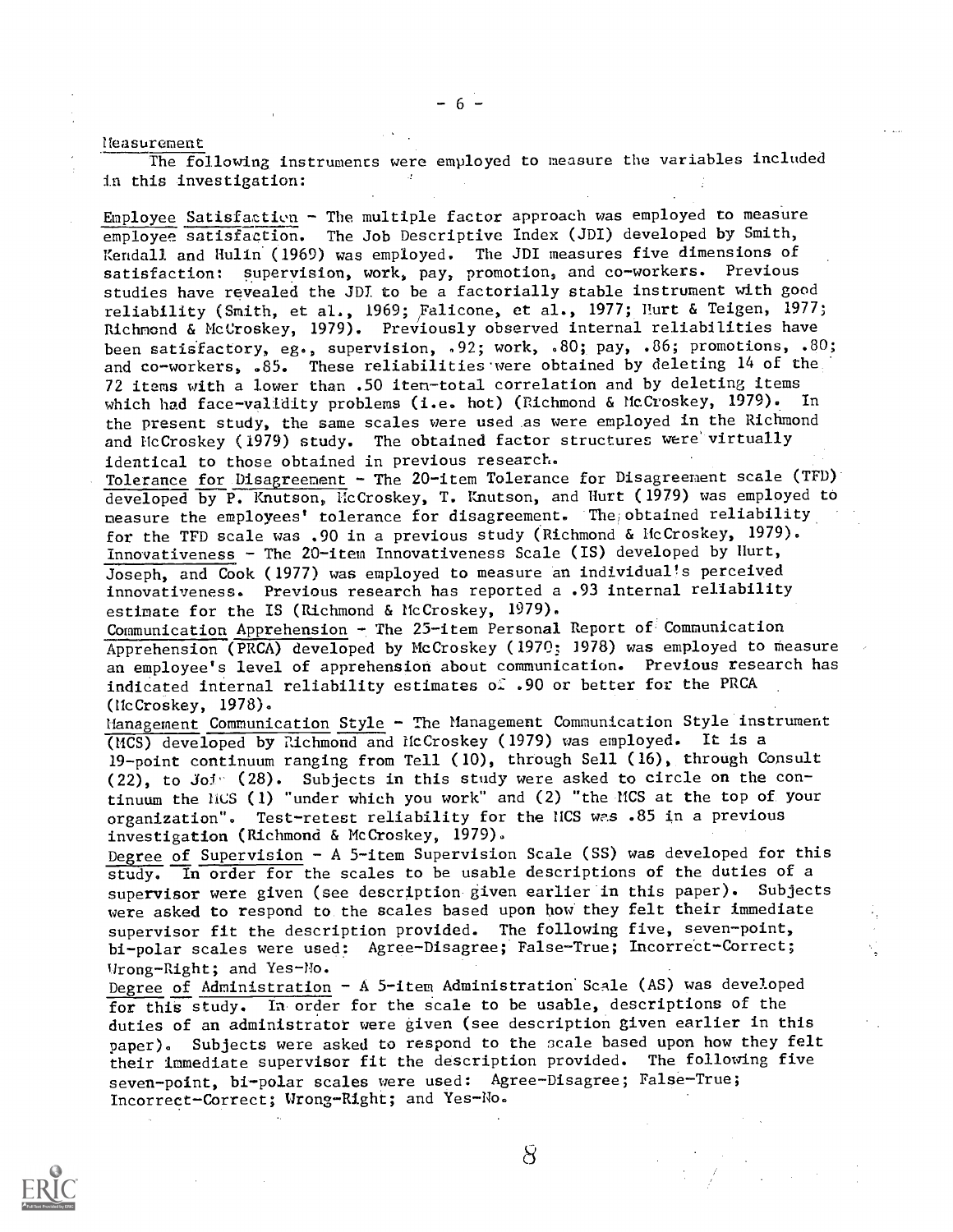Measurement

The following instruments were employed to measure the variables included in this investigation:

Employee Satisfaction - The multiple factor approach was employed to measure employee satisfaction. The Job Descriptive Index (JDI) developed by Smith, Kendall and Hulin (1969) was employed. The JDI measures five dimensions of satisfaction: supervision, work, pay, promotion, and co-workers. Previous studies have revealed the JDT to be a factorially stable instrument with good reliability (Smith, et al., 1969; Falicone, et al., 1977; Hurt & Teigen, 1977; Richmond & McCroskey, 1979). Previously observed internal reliabilities have been satisfactory, eg., supervision, .92; work, .80; pay, .86; promotions, .80; and co-workers, .85. These reliabilities were obtained by deleting 14 of the 72 items with a lower than .50 item-total correlation and by deleting items which had face-validity problems (i.e. hot) (Richmond & McCroskey, 1979). In the present study, the same scales were used as were employed in the Richmond and McCroskey (1979) study. The obtained factor structures were virtually identical to those obtained in previous research.

Tolerance for Disagreement - The 20-item Tolerance for Disagreement scale (TFD) developed by P. Knutson, McCroskey, T. Knutson, and Hurt (1979) was employed to measure the employees' tolerance for disagreement. The obtained reliability for the TFD scale was .90 in a previous study (Richmond & McCroskey, 1979). Innovativeness - The 20-item Innovativeness Scale (IS) developed by Hurt, Joseph, and Cook (1977) was employed to measure an individual's perceived innovativeness. Previous research has reported a .93 internal reliability estimate for the IS (Richmond & McCroskey, 1979).

Communication Apprehension - The 25-item Personal Report of Communication Apprehension (PRCA) developed by McCroskey (1970; 1978) was employed to measure an employee's level of apprehension about communication. Previous research has indicated internal reliability estimates of .90 or better for the PRCA (McCroskey, 1978).

Management Communication Style - The Management Communication Style instrument (MCS) developed by Richmond and McCroskey (1979) was employed. It is a 19-point continuum ranging from Tell (10), through Sell (16), through Consult (22), to Joi<sup>6</sup> (28). Subjects in this study were asked to circle on the continuum the MCS (1) "under which you work" and (2) "the MCS at the top of your organization". Test-retest reliability for the MCS was .85 in a previous investigation (Richmond & McCroskey, 1979).

Degree of Supervision - A 5-item Supervision Scale (SS) was developed for this study. In order for the scales to be usable descriptions of the duties of a supervisor were given (see description given earlier in this paper). Subjects were asked to respond to the scales based upon how they felt their immediate supervisor fit the description provided. The following five, seven-point, bi-polar scales were used: Agree-Disagree; False-True; Incorrect-Correct; Wrong-Right; and Yes-No.

Degree of Administration - A 5-item Administration Scale (AS) was developed for this study. In order for the scale to be usable, descriptions of the duties of an administrator were given (see description given earlier in this paper). Subjects were asked to respond to the ocale based upon how they felt their immediate supervisor fit the description provided. The following five seven-point, bi-polar scales were used: Agree-Disagree; False-True; Incorrect-Correct; Wrong-Right; and Yes-No.

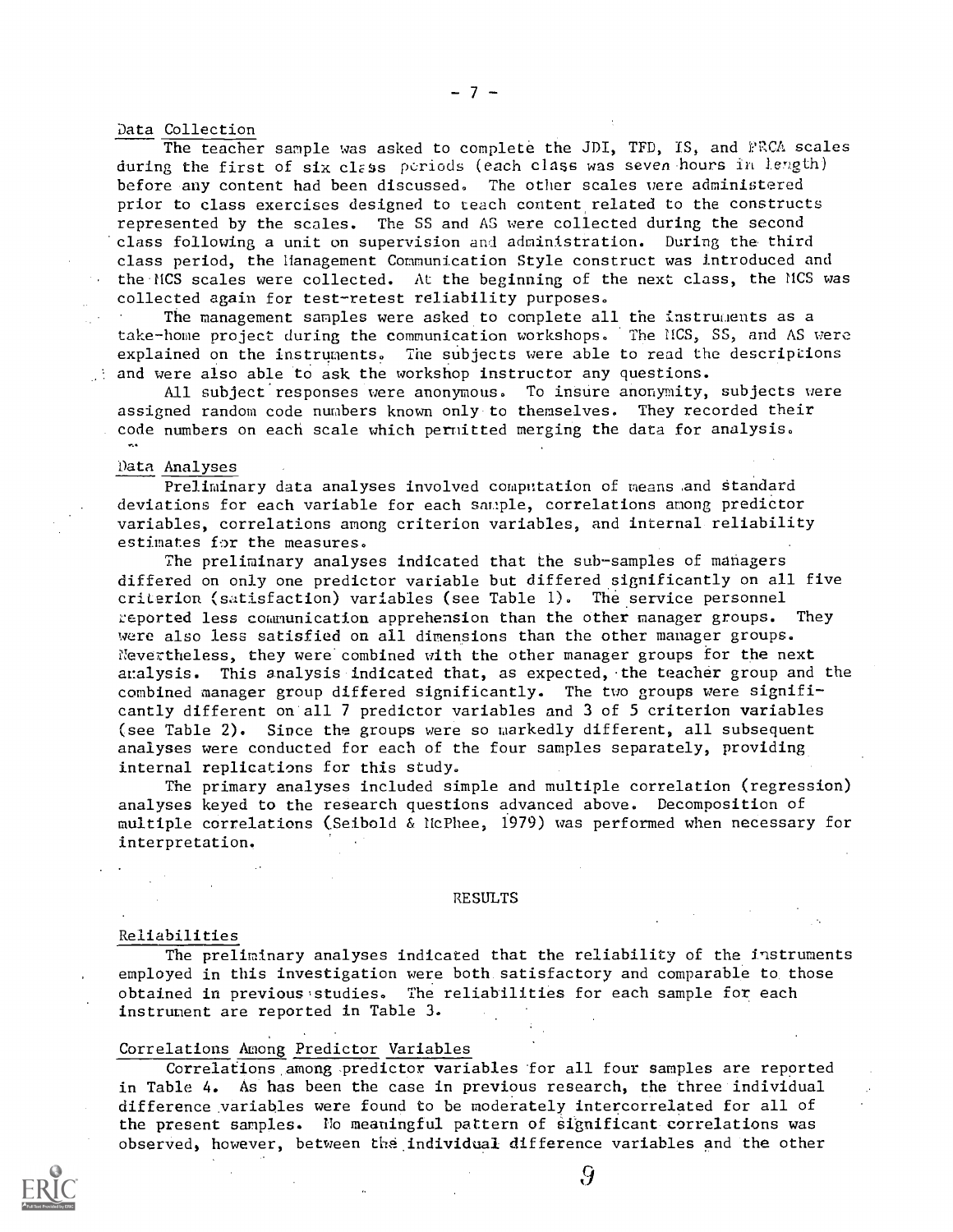## Data Collection

The teacher sample was asked to complete the JDI, TFD, IS, and PRCA scales during the first of six class periods (each class was seven hours in length) before any content had been discussed. The other scales were administered prior to class exercises designed to teach content related to the constructs represented by the scales. The SS and AS were collected during the second class following a unit on supervision and administration. During the third class period, the Management Communication Style construct was introduced and the.MCS scales were collected. At the beginning of the next class, the MCS was collected again for test-retest reliability purposes.

The management samples were asked to complete all the instruments as a take-home project during the communication workshops. The MCS, SS, and AS were explained on the instruments. The subjects were able to read the descriptions and were also able to ask the workshop instructor any questions.

All subject responses were anonymous. To insure anonymity, subjects were assigned random code numbers known only to themselves. They recorded their code numbers on each scale which permitted merging the data for analysis.

## Data Analyses

Preliminary data analyses involved computation of means and Standard deviations for each variable for each sample, correlations among predictor variables, correlations among criterion variables, and internal reliability estimates for the measures.

The preliminary analyses indicated that the sub-samples of managers differed on only one predictor variable but differed significantly on all five criterion (satisfaction) variables (see Table 1). The service personnel reported less communication apprehension than the other manager groups. They were also less satisfied on all dimensions than the other manager groups. Nevertheless, they were combined with the other manager groups for the next analysis. This analysis indicated that, as expected, the teacher group and the combined manager group differed significantly. The two groups were significantly different on'all 7 predictor variables and 3 of 5 criterion variables (see Table 2). Since the groups were so markedly different, all subsequent analyses were conducted for each of the four samples separately, providing internal replications for this study.

The primary analyses included simple and multiple correlation (regression) analyses keyed to the research questions advanced above. Decomposition of multiple correlations (Seibold & McPhee, 1979) was performed when necessary for interpretation.

#### RESULTS

#### Reliabilities

The preliminary analyses indicated that the reliability of the instruments employed in this investigation were both satisfactory and comparable to those obtained in previous studies. The reliabilities for each sample for each instrument are reported in Table 3.

### Correlations Among Predictor Variables

Correlations among predictor variables for all four samples are reported in Table 4. As has been the case in previous research, the three individual difference. variables were found to be moderately intercorrelated for all of the present samples. No meaningful pattern of significant correlations was observed, however, between the individual difference variables and the other

 $\overline{9}$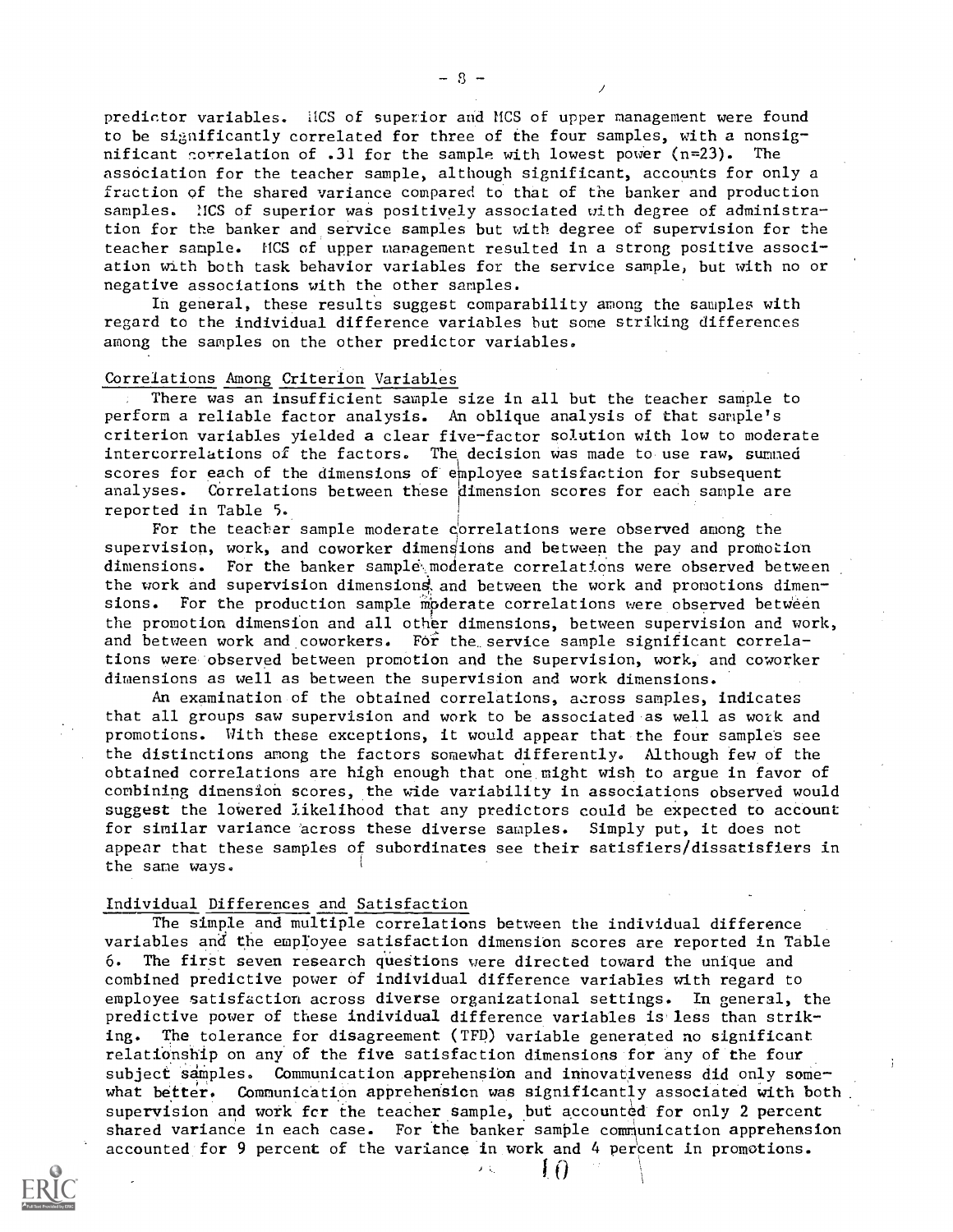predictor variables. MCS of superior and MCS of upper management were found to be significantly correlated for three of the four samples, with a nonsignificant correlation of .31 for the sample with lowest power (n=23). The association for the teacher sample, although significant, accounts for only a fraction of the shared variance compared to that of the banker and production samples. NCS of superior was positively associated with degree of administration for the banker and service samples but with degree of supervision for the teacher sample. MCS of upper management resulted in a strong positive association with both task behavior variables for the service sample, but with no or negative associations with the other samples.

In general, these results suggest comparability among the samples with regard to the individual difference variables but some striking differences among the samples on the other predictor variables.

## Correlations Among Criterion Variables

There was an insufficient sample size in all but the teacher sample to perform a reliable factor analysis. An oblique analysis of that sample's criterion variables yielded a clear five-factor solution with low to moderate intercorrelations of the factors. The decision was made to use raw, summed scores for each of the dimensions of employee satisfaction for subsequent analyses. Correlations between these dimension scores for each sample are reported in Table 5.

For the teacler sample moderate correlations were observed among the supervision, work, and coworker dimensions and between the pay and promotion dimensions. For the banker sample moderate correlations were observed between the work and supervision dimensions and between the work and promotions dimensions. For the production sample moderate correlations were observed between the promotion dimension and all other dimensions, between supervision and work, and between work and coworkers. For the service sample significant correlations were observed between promotion and the supervision, work, and coworker dimensions as well as between the supervision and work dimensions.

An examination of the obtained correlations, across samples, indicates that all groups saw supervision and work to be associated as well as work and promotions. With these exceptions, it would appear that the four samples see the distinctions among the factors somewhat differently. Although few of the obtained correlations are high enough that one might wish to argue in favor of combining dimension scores, the wide variability in associations observed would suggest the lowered likelihood that any predictors could be expected to account for similar variance across these diverse samples. Simply put, it does not appear that these samples of subordinates see their satisfiers/dissatisfiers in the sane ways.

#### Individual Differences and Satisfaction

The simple and multiple correlations between the individual difference variables and the employee satisfaction dimension scores are reported in Table 6. The first seven research questions were directed toward the unique and combined predictive power of individual difference variables with regard to employee satisfaction across diverse organizational settings. In general, the predictive power of these individual difference variables is less than striking. The tolerance for disagreement (TFD) variable generated no significant relationship on any of the five satisfaction dimensions for any of the four subject samples. Communication apprehension and innovativeness did only somewhat better. Communication apprehension was significantly associated with both supervision and work fcr the teacher sample, but accounted for only 2 percent shared variance in each case. For the banker sample communication apprehension accounted for 9 percent of the variance in work and 4 percent in promotions.

大切

 $10$ 

 $-8-$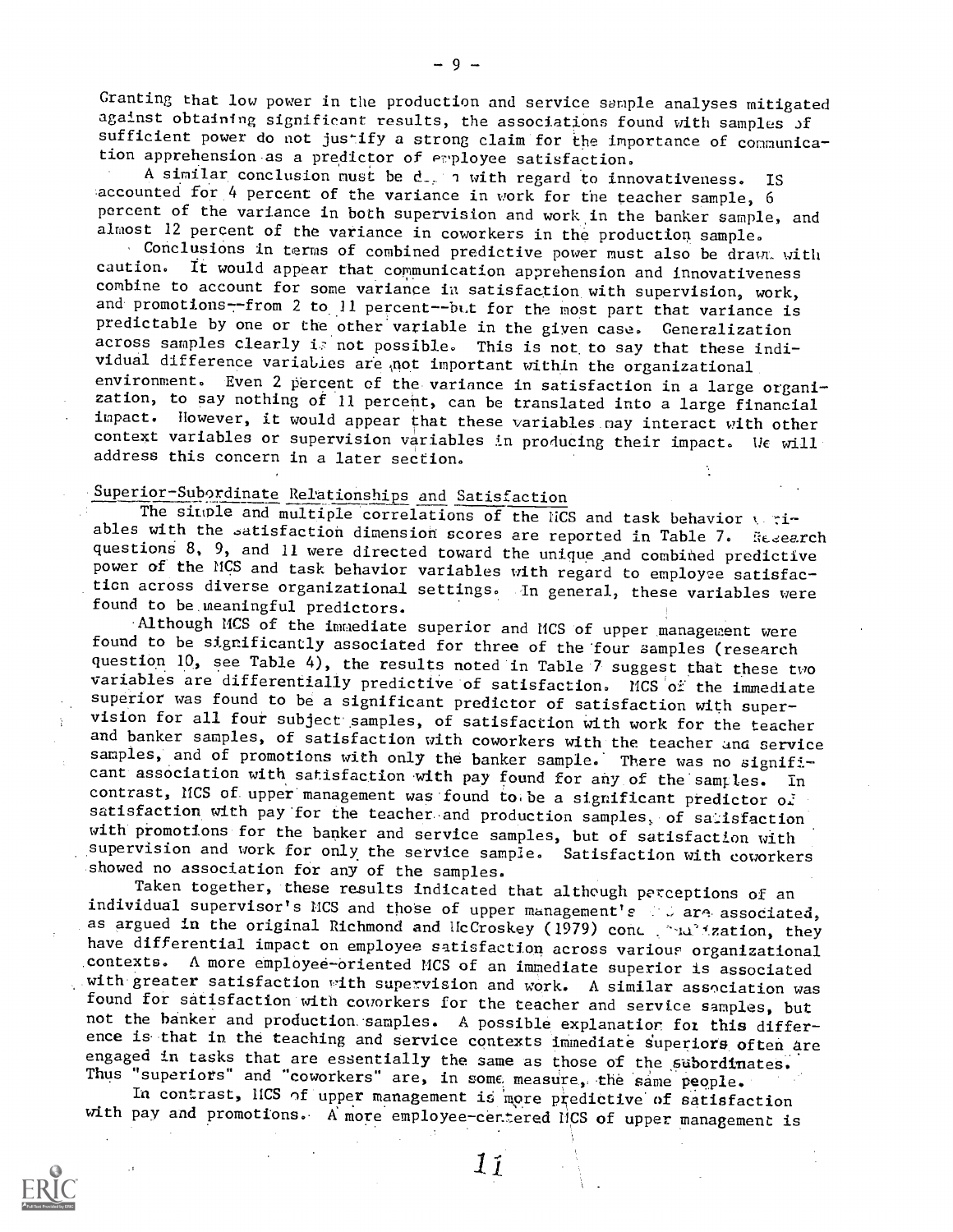Granting that low power in the production and service sample analyses mitigated against obtaining significant results, the associations found with samples Jf sufficient power do not jus-ify a strong claim for the importance of communication apprehension-as a predictor of employee satisfaction.

A similar conclusion must be d\_, i with regard to innovativeness. IS accounted for 4 percent of the variance in work for the teacher sample, 6 percent of the variance in both supervision and work in the banker sample, and almost 12 percent of the variance in coworkers in the production sample.

Conclusions in terms of combined predictive power must also be drawn with caution. It would appear that communication apprehension and innovativeness combine to account for some variance in satisfaction with supervision, work, and promotions--from 2 to 11 percent--but for the most part that variance is predictable by one or the other variable in the given case. Generalization across samples clearly is not possible. This is not to say that these individual difference variables are not important within the organizational environment. Even 2 percent of the variance in satisfaction in a large organization, to say nothing of 11 percent, can be translated into a large financial impact. However, it would appear that these variables may interact with other context variables or supervision variables in producing their impact. We will address this concern in a later section.

## Superior-Subordinate Relationships and Satisfaction

The simple and multiple correlations of the MCS and task behavior inti-<br>ables with the satisfaction dimension scores are reported in Table 7. Research questions 8, 9, and 11 were directed toward the unique and combined predictive power of the MCS and task behavior variables with regard to employee satisfacticn across diverse organizational settings. In general, these variables were found to be meaningful predictors.<br>Although MCS of the immediate superior and MCS of upper management were

found to be significantly associated for three of the four samples (research question 10, see Table 4), the results noted in Table 7 suggest that these two variables are differentially predictive of satisfaction. MCS of the immediate superior was found to be a significant predictor of satisfaction with supervision for all four subject samples, of satisfaction with work for the teacher and banker samples, of satisfaction with coworkers with the teacher and service samples, and of promotions with only the banker sample. There was no significant association with satisfaction with pay found for any of the samples. In contrast, MCS of upper management was found to be a significant predictor of satisfaction with pay for the teacher and production samples, of satisfaction with promotions for the banker and service samples, but of satisfaction with supervision and work for only the service sample. Satisfaction with coworkers showed no association for any of the samples.<br>Taken together, these results indicated that although perceptions of an

individual supervisor's MCS and those of upper management's and are associated, as argued in the original Richmond and llcCroskey (1979) cone . All fration, they have differential impact on employee satisfaction across various organizational contexts. A more employee-oriented MCS of an immediate superior is associated with greater satisfaction with supervision and work. A similar association was found for satisfaction with coworkers for the teacher and service samples, but not the banker and production samples. A possible explanation for this difference is that in the teaching and service contexts immediate superiors often are engaged in tasks that are essentially the same as those of the subordinates. Thus "superiors" and "coworkers" are, in some measure, the same people.

In contrast, IICS of upper management is more predictive of satisfaction with pay and promotions. A more employee-centered liCS of upper management is

1i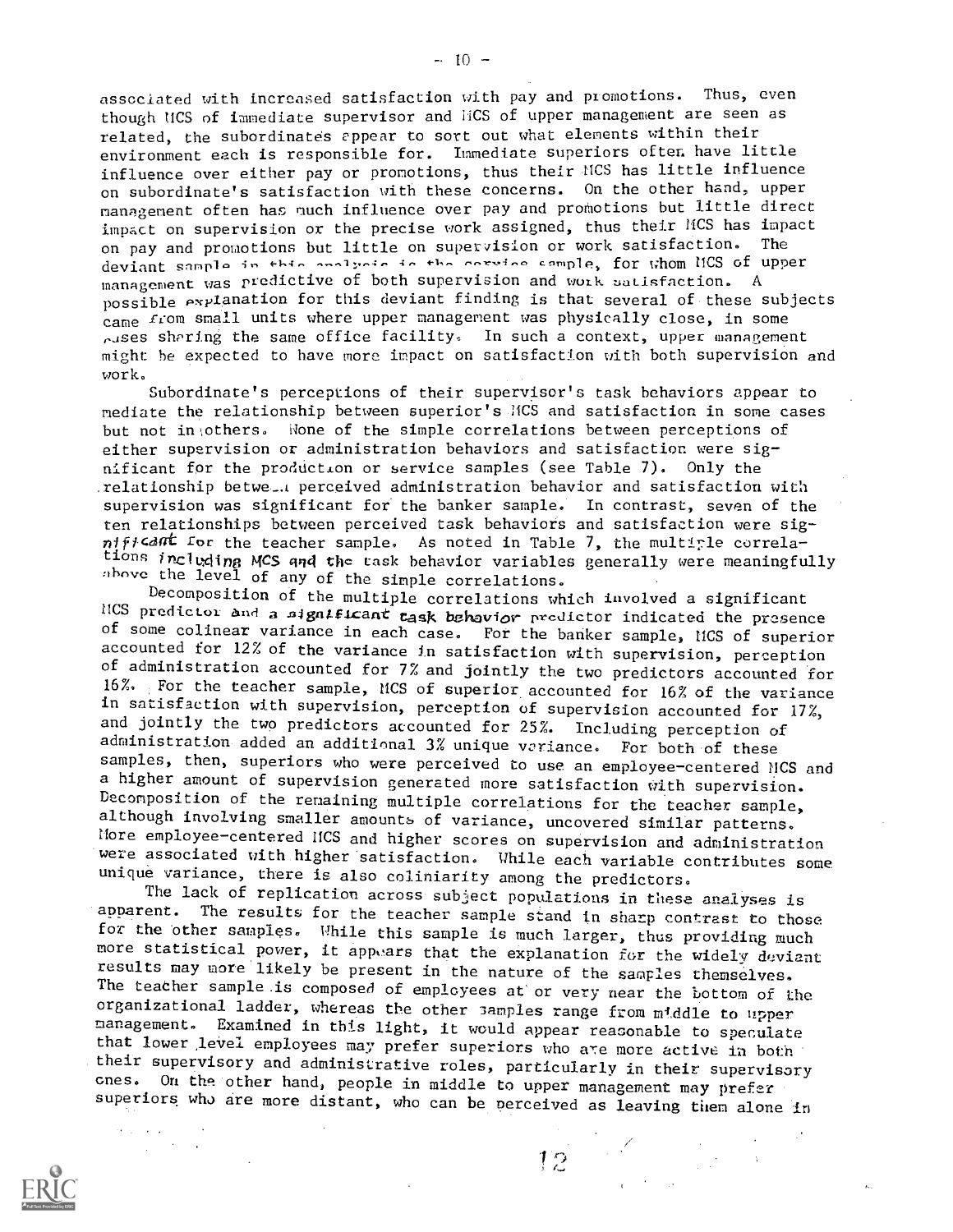associated with increased satisfaction with pay and promotions. Thus, even though UCS of immediate supervisor and HCS of upper management are seen as related, the subordinates appear to sort out what elements within their environment each is responsible for. Immediate superiors often have little influence over either pay or promotions, thus their HCS has little influence on subordinate's satisfaction with these concerns. On the other hand, upper management often has much influence over pay and promotions but little direct impact on supervision or the precise work assigned, thus their MCS has impact<br>on pay and propotions but little on supervision or work satisfaction. The on pay and promotions but little on supervision or work satisfaction. deviant sample in this analysis is the corrise cample, for whom MCS of upper management was predictive of both supervision and work satisfaction. A possible pnplanation for this deviant finding is that several of these subjects  $c$ <sub>ame</sub> from small units where upper management was physically close, in some puses sharing the same office facility. In such a context, upper management might he expected to have more impact on satisfaction with both supervision and work.

Subordinate's perceptions of their supervisor's task behaviors appear to mediate the relationship between superior's NCS and satisfaction in some cases but not in\others. None of the simple correlations between perceptions of either supervision or administration behaviors and satisfaction were significant for the production or service samples (see Table 7). Only the relationship betwe ... perceived administration behavior and satisfaction with supervision was significant for the banker sample. In contrast, seven of the ten relationships between perceived task behaviors and satisfaction were sig $nif/$  cant for the teacher sample. As noted in Table 7, the multiple correlations including MCS and the task behavior variables generally were meaningfully nbnve the level of any of the simple correlations.

Decomposition of the multiple correlations which involved a significant IICS predictor and a significant task behavior predictor indicated the presence of some colinear variance in each case. For the banker sample, MCS of superior accounted for 12% of the variance In satisfaction with supervision, perception of administration accounted for 77, and jointly the two predictors accounted for 16%. For the teacher sample, NCS of superior accounted for 16% of the variance in satisfaction with supervision, perception of supervision accounted for 17%, and jointly the two predictors accounted for 25%. Including perception of administration added an additional 3% unique variance. For both of these samples, then, superiors who were perceived to use an employee-centered MCS and a higher amount of supervision generated more satisfaction with supervision. Decomposition of the remaining multiple correlations for the teacher sample, although involving smaller amounts of variance, uncovered similar patterns. More employee-centered HCS and higher scores on supervision and administration were associated with higher satisfaction. While each variable contributes some unique variance, there is also coliniarity among the predictors.

The lack of replication across subject populations in these analyses is apparent. The results for the teacher sample stand in sharp contrast to those for the other samples. While this sample is much larger, thus providing much more statistical power, it appoars that the explanation for the widely deviant results may more likely be present in the nature of the samples themselves. The teacher sample is composed of employees at or very near the bottom of the organizational ladder, whereas the other samples range from middle to upper management. Examined in this light, it would appear reasonable to speculate that lower level employees may prefer superiors who are more active in both their supervisory and administrative roles, particularly in their supervisory ones. On the other hand, people in middle to upper management may prefer superiors who are more distant, who can be perceived as leaving them alone in

 $12\pm 4$ 

 $\sim 10$  M

 $\mathcal{L}^{\text{max}}_{\text{max}}$  and  $\mathcal{L}^{\text{max}}_{\text{max}}$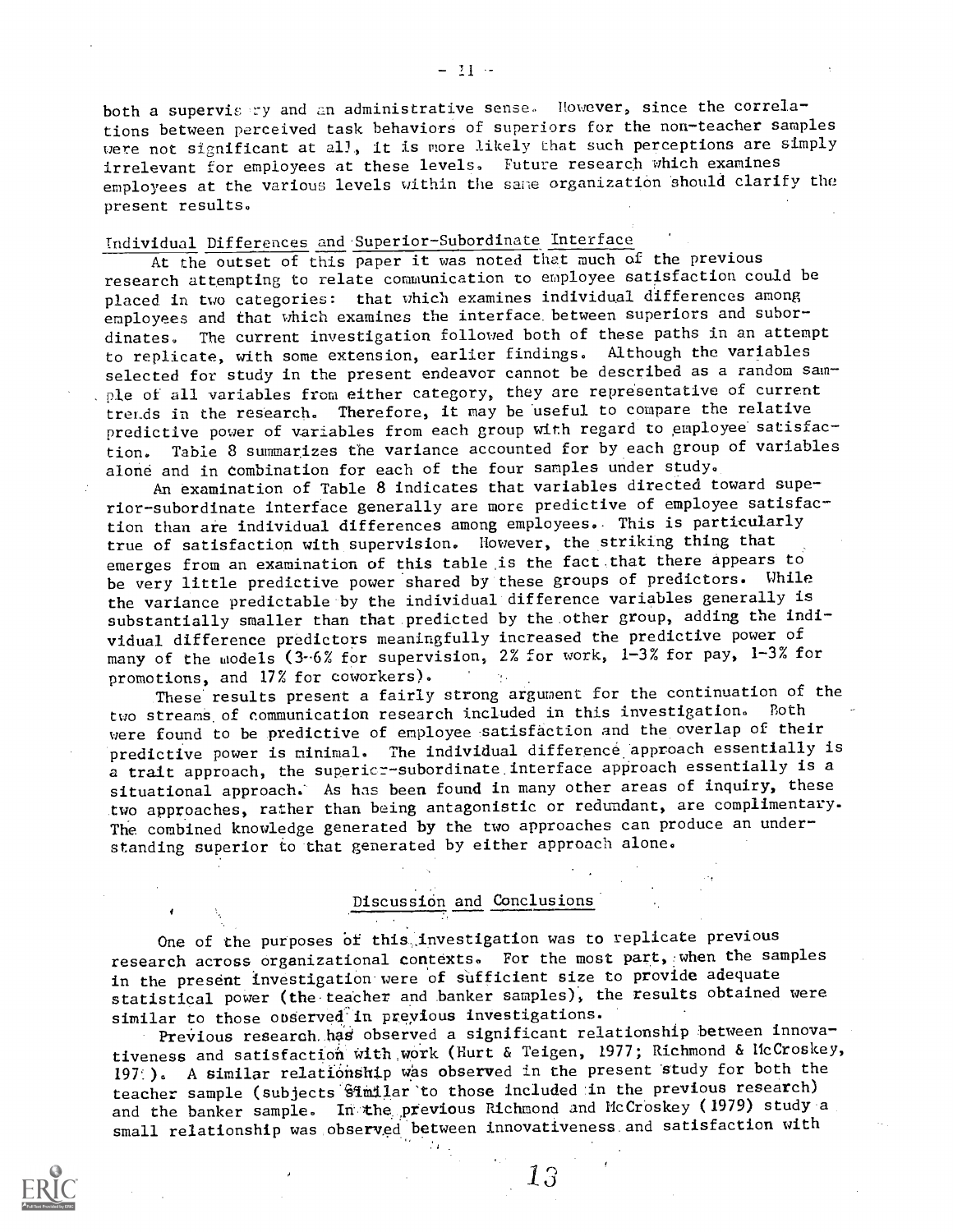both a supervis ty and an administrative sense. However, since the correlations between perceived task behaviors of superiors for the non-teacher samples were not significant at all, it is more likely that such perceptions are simply irrelevant for employees at these levels. Future research which examines employees at the various levels within the sane organization should clarify the present results.

## Individual Differences and Superior-Subordinate Interface

At the outset of this paper it was noted that much of the previous research attempting to relate communication to employee satisfaction could be placed in two categories: that which examines individual differences among employees and that which examines the interface between superiors and subordinates. The current investigation followed both of these paths in an attempt to replicate, with some extension, earlier findings. Although the variables selected for study in the present endeavor cannot be described as a random sample of all variables from either category, they are representative of current trends in the research. Therefore, it may be useful to compare the relative predictive power of variables from each group with regard to employee satisfaction. Table 8 summarizes the variance accounted for by each group of variables alone and in combination for each of the four samples under study.

An examination of Table 8 indicates that variables directed toward superior-subordinate interface generally are more predictive of employee satisfaction than are individual differences among employees.. This is particularly true of satisfaction with supervision. However, the striking thing that emerges from an examination of this table,is the fact.that there appears to be very little predictive power shared by these groups of predictors. While the variance predictable by the individual difference variables generally is substantially smaller than that predicted by the other group, adding the individual difference predictors meaningfully increased the predictive power of many of the models (3-6% for supervision, 2% for work, 1-3% for pay, 1-3% for promotions, and 17% for coworkers).

These results present a fairly strong argument for the continuation of the two streams.of communication research included in this investigation. Both were found to be predictive of employee satisfaction and the overlap of their predictive power is minimal. The individual difference approach essentially is a trait approach, the supericr-subordinate interface approach essentially is a situational approach. As has been found in many other areas of inquiry, these two approaches, rather than being antagonistic or redundant, are complimentary. The combined knowledge generated by the two approaches can produce an understanding superior to that generated by either approach alone.

## Discussion and Conclusions'

One of the purposes of this investigation was to replicate previous research across organizational contexts. For the most part, when the samples in the present investigation were of sufficient size to provide adequate statistical power (the teacher and banker samples), the results obtained were similar to those opserved in previous investigations.

Previous research had observed a significant relationship between innovativeness and satisfaction with work (Hurt & Teigen, 1977; Richmond & licCroskey, 197: ). A similar relationship was observed in the present study for both the teacher sample (subjects Similar to those included in the previous research) and the banker sample. In the previous Richmond and McCroskey (1979) study a small relationship was,observed'between innovativeness.and satisfaction with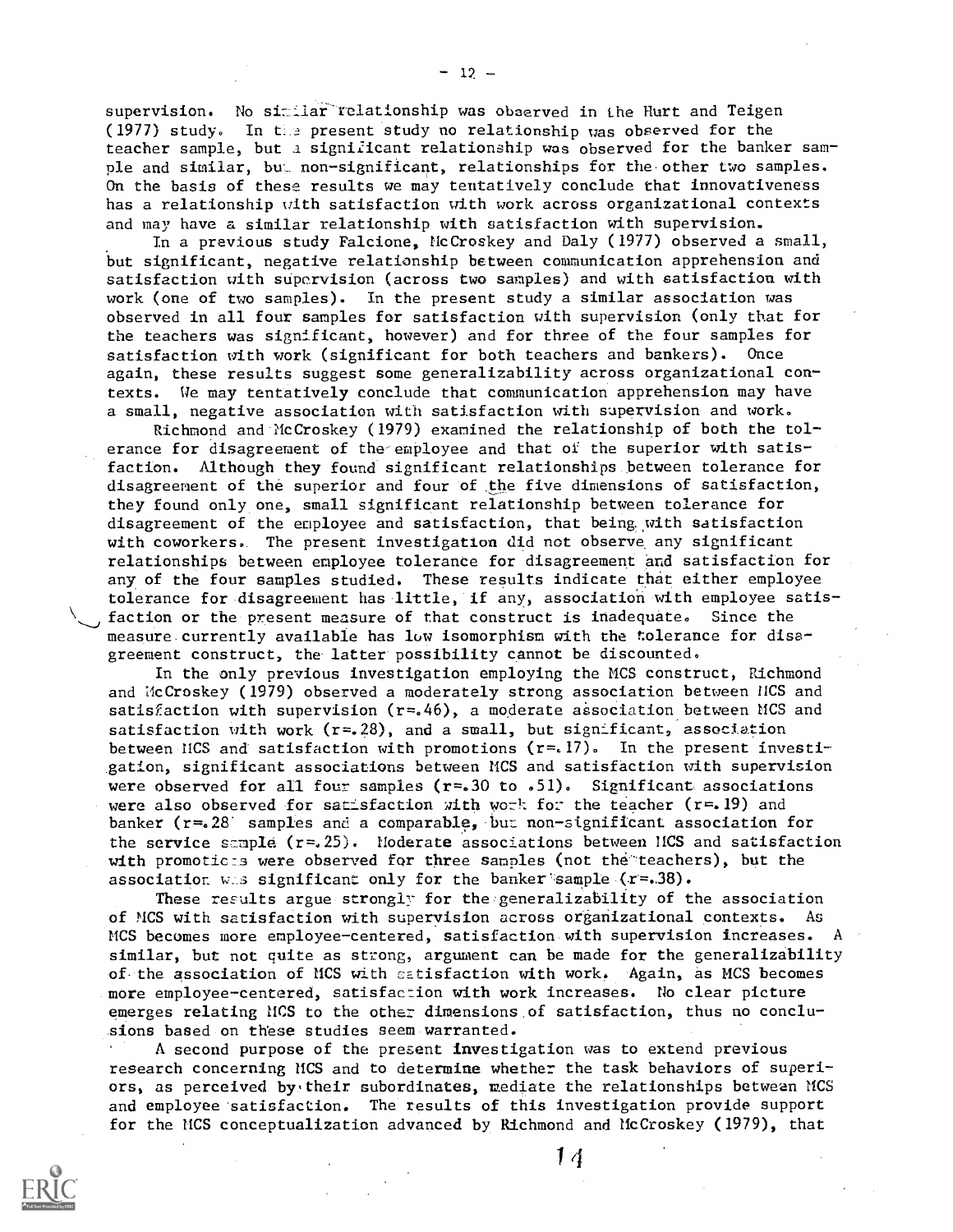supervision. No sitilar relationship was observed in the Hurt and Teigen (1977) study. In the present study no relationship was observed for the teacher sample, but a significant relationship was observed for the banker sample and similar, but non-significant, relationships for the other two samples. On the basis of these results we may tentatively conclude that innovativeness has a relationship with satisfaction with work across organizational contexts and may have a similar relationship with satisfaction with supervision.

In a previous study Falcione, McCroskey and Daly (1977) observed a small, but significant, negative relationship between communication apprehension and satisfaction with supervision (across two samples) and with satisfaction with work (one of two samples). In the present study a similar association was observed in all four samples for satisfaction with supervision (only that for the teachers was significant, however) and for three of the four samples for satisfaction with work (significant for both teachers and bankers). Once again, these results suggest some generalizability across organizational contexts. We may tentatively conclude that communication apprehension may have a small, negative association with satisfaction with supervision and work.

Richmond and McCroskey (1979) examined the relationship of both the tolerance for disagreement of the employee and that of the superior with satisfaction. Although they found significant relationships between tolerance for disagreement of the superior and four of the five dimensions of satisfaction, they found only one, small significant relationship between tolerance for disagreement of the employee and satisfaction, that being with satisfaction with coworkers. The present investigation did not observe any significant relationships between employee tolerance for disagreement and satisfaction for any of the four samples studied. These results indicate that either employee tolerance for disagreement has little, if any, association with employee satisfaction or the present measure of that construct is inadequate. Since the measure currently available has low isomorphism with the tolerance for disagreement construct, the latter possibility cannot be discounted.

In the only previous investigation employing the MCS construct, Richmond and McCroskey (1979) observed a moderately strong association between NCS and satisfaction with supervision  $(r=.46)$ , a moderate association between MCS and satisfaction with work  $(r=.28)$ , and a small, but significant, association between IICS and satisfaction with promotions  $(r=.17)$ . In the present investigation, significant associations between MCS and satisfaction with supervision were observed for all four samples  $(r=.30 \text{ to } .51)$ . Significant associations were also observed for satisfaction with work for the teacher ( $r=.19$ ) and banker ( $r=.28$ ' samples and a comparable, but non-significant association for the service sample  $(r=.25)$ . Moderate associations between NCS and satisfaction with promotic:s were observed for three samples (not the teachers), but the association was significant only for the banker'sample  $(r=.38)$ .

These results argue strongly for the generalizability of the association of !ICS with satisfaction with supervision across organizational contexts. As MCS becomes more employee-centered, satisfaction with supervision increases. A similar, but not quite as strong, argument can be made for the generalizability of-the association of MCS with satisfaction with work. Again, as MCS becomes more employee-centered, satisfaction with work increases. No clear picture emerges relating MCS to the other dimensions of satisfaction, thus no conclusions based on these studies seem warranted.

A second purpose of the present investigation was to extend previous research concerning MCS and to determine whether the task behaviors of superiors, as perceived by their subordinates, mediate the relationships between MCS and employee satisfaction. The results of this investigation provide support for the MCS conceptualization advanced by Richmond and McCroskey (1979), that

1 $\boldsymbol{d}$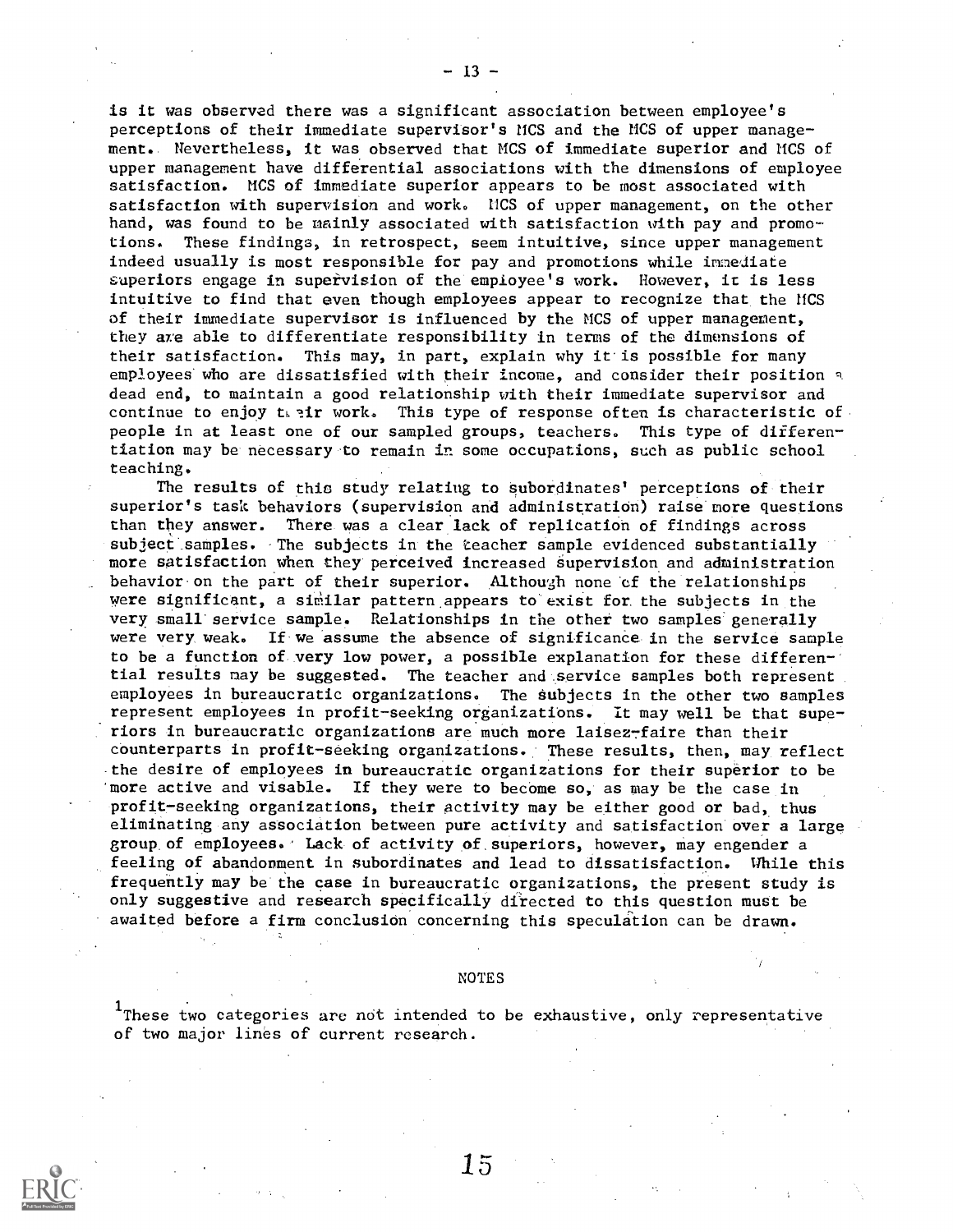is it was observed there was a significant association between employee's perceptions of their immediate supervisor's MCS and the MCS of upper management. Nevertheless, it was observed that MCS of immediate superior and MCS of upper management have differential associations with the dimensions of employee satisfaction. MCS of immediate superior appears to be most associated with satisfaction with supervision and work. 'ICS of upper management, on the other hand, was found to be mainly associated with satisfaction with pay and promotions. These findings, in retrospect, seem intuitive, since upper management indeed usually is most responsible for pay and promotions while inmeaiate superiors engage in supervision of the employee's work. However, it is less intuitive to find that even though employees appear to recognize that the MCS of their immediate supervisor is influenced by the MCS of upper management, they are able to differentiate responsibility in terms of the dimensions of their satisfaction. This may, in part, explain why it is possible for many employees who are dissatisfied with their income, and consider their position a dead end, to maintain a good relationship with their immediate supervisor and continue to enjoy  $t_{k}$  if work. This type of response often is characteristic of people in at least one of our sampled groups, teachers. This type of differentiation may be necessary-to remain in some occupations, such as public school teaching.

The results of this study relating to Subordinates' perceptions of their superior's task behaviors (supervision and administration) raise more questions than they answer. There was a clear lack of replication of findings across subject samples. The subjects in the teacher sample evidenced substantially more satisfaction when they perceived increased Supervision and administration behavior on the part of their superior. Although none of the relationships were significant, a similar pattern appears to exist for the subjects in the very small'service sample. Relationships in the other two samples generally were very weak. If-we assume the absence of significance in the service sample to be a function of very low power, a possible explanation for these differential results ray be suggested. The teacher and service samples both represent , employees in bureaucratic organizations. The subjects in the other two samples represent employees in profit-seeking organizations. It may well be that superiors in bureaucratic organizations are much more laisez-faire than their counterparts in profit-seeking organizations. These results, then, may reflect the desire of employees in bureaucratic organizations for their superior to be more active and visable. If they were to become so, as may be the case in profit-seeking organizations, their activity may be either good or bad, thus eliminating any association between pure activity and satisfaction over a large group. of employees.' Lack of activity of.superiors, however, may engender a feeling of abandonment in subordinates and lead to dissatisfaction. While this frequently may be the case in bureaucratic organizations, the present study is only suggestive and research specifically directed to this question must be awaited before a firm conclusion concerning this speculation can be drawn.

#### NOTES

<sup>1</sup>These two categories are not intended to be exhaustive, only representative of two major lines of current research.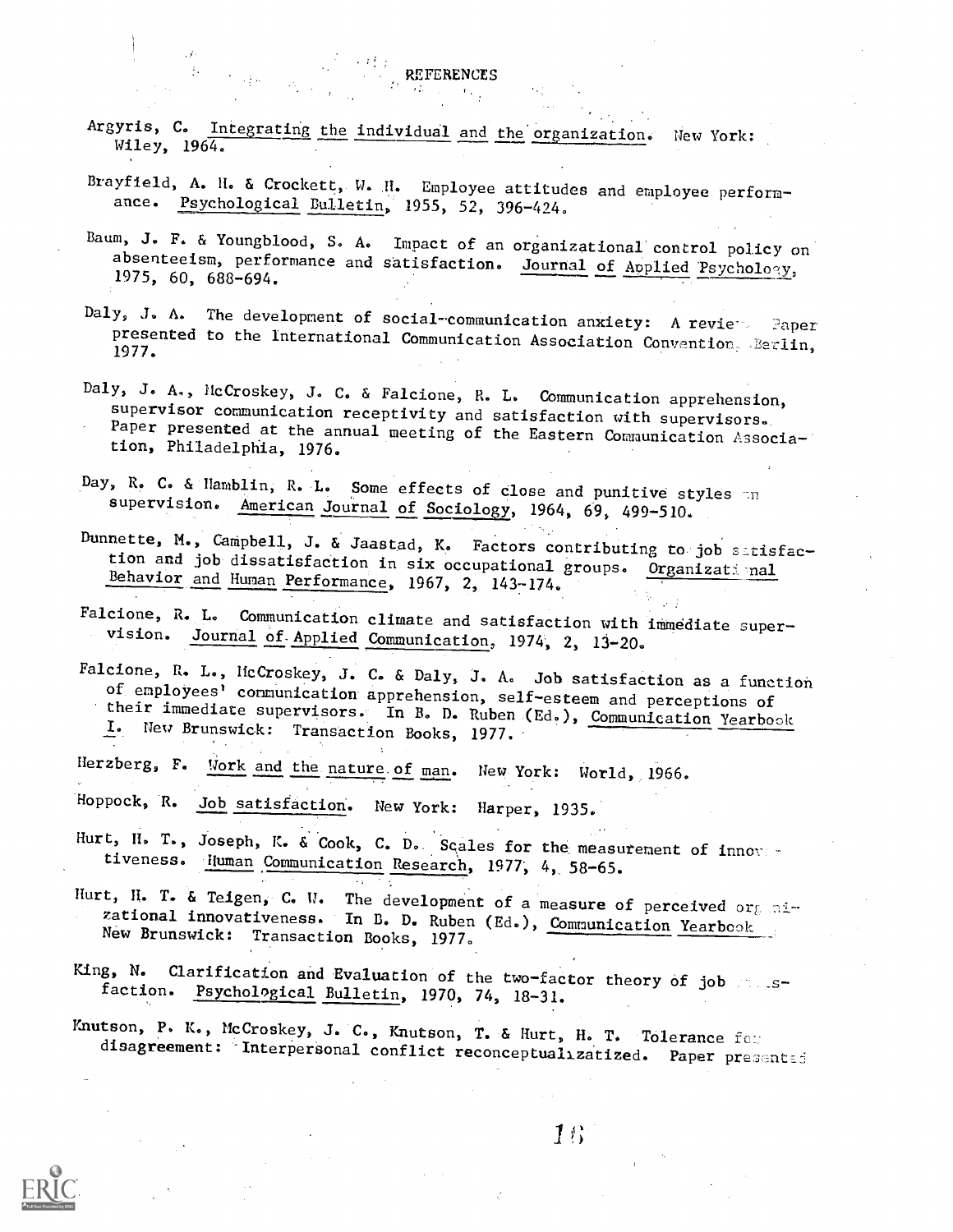- Argyris, C. Integrating the individual and the organization. New York: Wiley, 1964.
- Brayfield, A. H. & Crockett, W. H. Employee attitudes and employee performance. Psychological Bulletin, 1955, 52, 396-424.

**REFERENCES** 

- Baum, J. F. & Youngblood, S. A. Impact of an organizational control policy on absenteeism, performance and satisfaction. Journal of Applied Psychology, 1975, 60, 688-694.
- Daly, J. A. The development of social-communication anxiety: A revier Paper presented to the International Communication Association Convention, Berlin, 1977.
- Daly, J. A., McCroskey, J. C. & Falcione, R. L. Communication apprehension, supervisor communication receptivity and satisfaction with supervisors.<br>Paper presented at the annual meeting of the Eastern Communication Associa
- Day, R. C. & Hamblin, R. L. Some effects of close and punitive styles on supervision. American Journal of Sociology, 1964, 69, 499-510.
- Dunnette, M., Campbell, J. & Jaastad, K. Factors contributing to job sitisfaction and job dissatisfaction in six occupational groups. Organizational Behavior and Human Performance, 1967, 2, 143-174.
- Falcione, R. L. Communication climate and satisfaction with immediate super-<br>vision. Journal of Applied Communication, 1974, 2, 13-20.
- Falcione, R. L., McCroskey, J. C. & Daly, J. A. Job satisfaction as a function<br>of employees' communication apprehension, self-esteem and perceptions of<br>their immediate supervisors. In B. D. Ruben (Ed.), Communication Yearb I. New BrunswiCk: Transaction Books, 1977.
- Herzberg, F. Work and the nature of man. New York: World, 1966.
- Hoppock, R. Job satisfaction. New York: Harper, 1935.
- Hurt, H. T., Joseph, K. & Cook, C. D. Scales for the measurement of innov-<br>tiveness. Human Communication Research, 1977, 4, 58-65.
- Hurt, H. T. & Teigen, C. U. The development of a measure of perceived or finite varional innovativeness. In B. D. Ruben (Ed.), Communication Yearbook New Brunswick: Transaction Books, 1977.
- King, N. Clarification and Evaluation of the two-factor theory of job states faction. Psychological Bulletin, 1970, 74, 18-31.
- Knutson, P. K., McCroskey, J. C., Knutson, T. & Hurt, H. T. Tolerance for disagreement: 'Interpersonal conflict reconceptualizatized. Paper presented

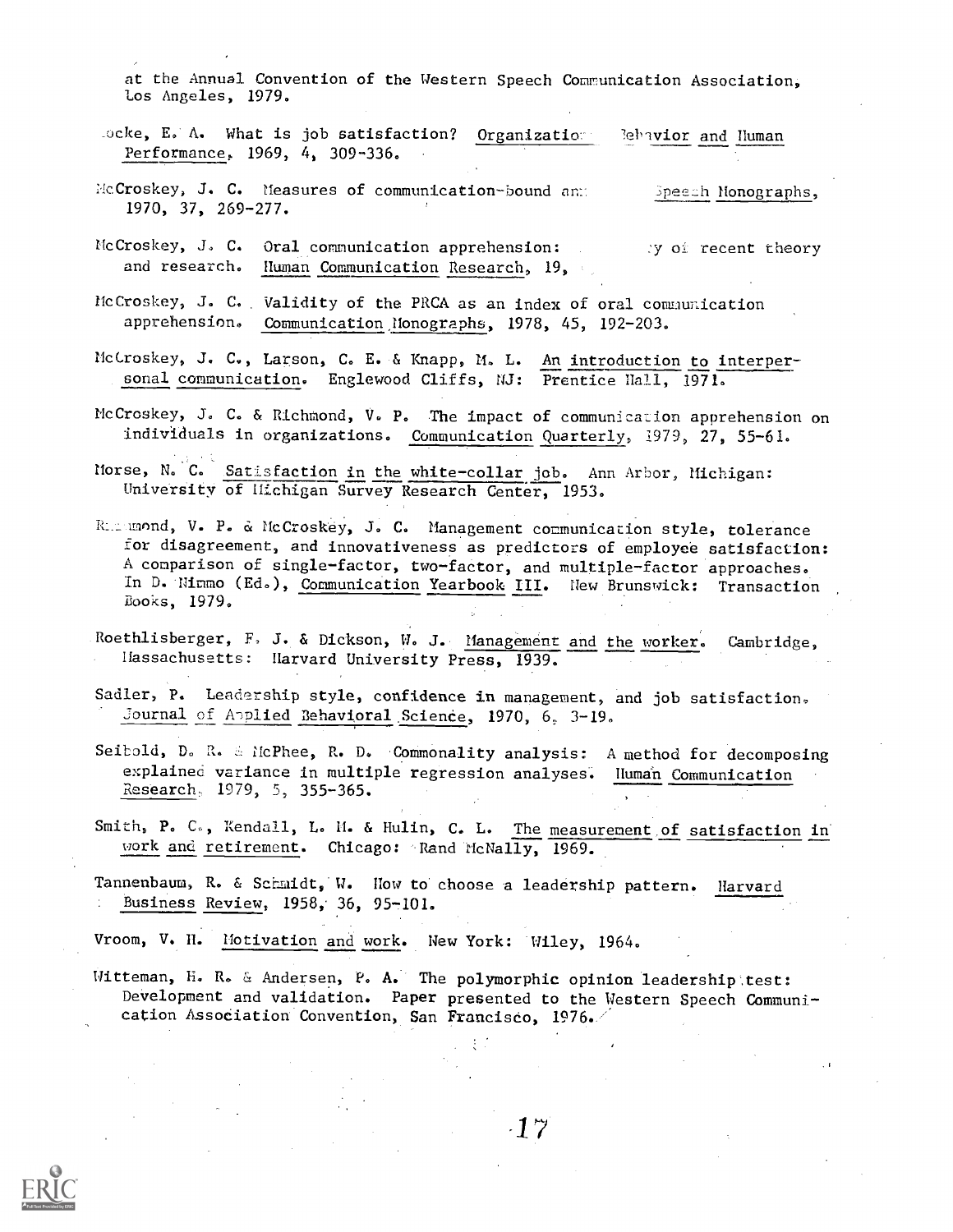at the Annual Convention of the Western Speech Communication Association, Los Angeles, 1979.

- Locke, E. A. What is job satisfaction? Organization lehavior and Human Performance, 1969, 4, 309-336.
- HeCroskey, J. C. Measures of communication-bound an: 3peech Monographs, 1970, 37, 269-277.
- McCroskey, J. C. Oral communication apprehension:  $\cdots$  y of recent theory and research. Human Communication Research, 19,
- IicCroskey, J. C. Validity of the PRCA as an index of oral communication apprehension. Communication,Monographs, 1978, 45, 192-203.
- HcCroskey, J. C., Larson, C. E. & Knapp, M. L. An introduction to interpersonal communication. Englewood Cliffs, MJ: Prentice Hall, 1971.
- McCroskey, J. C. & Richmond, V. P. The impact of communication apprehension on individuals in organizations. Communication Quarterly, 1979, 27, 55-61.
- Horse, N. C. Satisfaction in the white-collar job. Ann Arbor, Michigan: University of Michigan Survey Research Center, 1953.
- Remmond, V. P. & McCroskey, J. C. Management communication style, tolerance for disagreement, and innovativeness as predictors of employee satisfaction: A comparison of single-factor, two-factor, and multiple-factor approaches. In D. Nimmo (Ed.), Communication Yearbook III. New Brunswick: Transaction Books, 1979.
- Roethlisberger, F. J. & Dickson, W. J. Management and the worker. Cambridge, Hassachusetts: Harvard University Press, 1939.
- Sadler, P. Leadership style, confidence in management, and job satisfaction. Journal of Applied Behavioral Science, 1970, 6, 3-19.
- Seibold, D. R. E McPhee, R. D. Commonality analysis: A method for decomposing explained variance in multiple regression analyses. Human Communication Research. 1979, 5, 355-365.
- Smith, P. C., Kendall, L. M. & Hulin, C. L. The measurement of satisfaction in work and retirement. Chicago: Rand McNally, 1969.
- Tannenbaum, R. & Schmidt, W. How to choose a leadership pattern. Harvard Business Review, 1958, 36, 95-101.

Vroom, V. H. Motivation and work. New York: Wiley, 1964.

Witteman, H. R. & Andersen, P. A. The polymorphic opinion leadership test: Development and validation. Paper presented to the Western Speech Communication Association Convention, San Francisco, 1976.

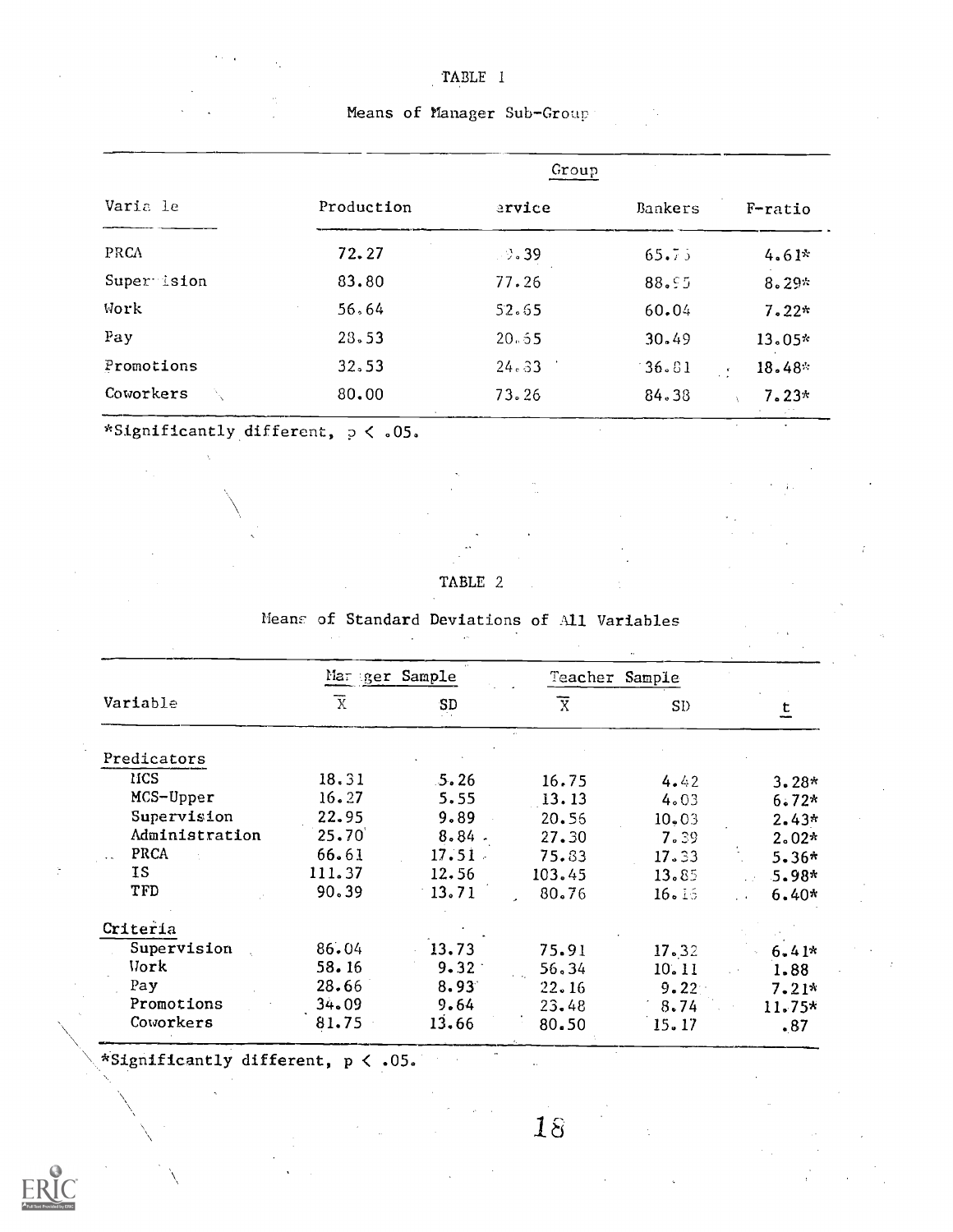## TABLE 1

Means of Manager Sub-Group

| Varia le    | Group      |        |         |                         |  |  |
|-------------|------------|--------|---------|-------------------------|--|--|
|             | Production | arvice | Bankers | F-ratio                 |  |  |
| PRCA        | 72.27      | . 39   | 65.75   | $4.61*$                 |  |  |
| Super ision | 83.80      | 77.26  | 88.95   | $8.29*$                 |  |  |
| Work        | 56.64      | 52.65  | 60.04   | $7.22*$                 |  |  |
| Pay         | 28.53      | 20.55  | 30.49   | 13.05*                  |  |  |
| Promotions  | 32.53      | 24.33  | 36.81   | 18.48*<br>$\mathcal{C}$ |  |  |
| Coworkers   | 80.00      | 73.26  | 84.38   | $7.23*$                 |  |  |

\*Significantly different,  $\frac{1}{2}$  < .05.

 $\epsilon$ 

TABLE 2

Means of Standard Deviations of All Variables

 $\lambda$ 

|                | Marager Sample    |           | Teacher Sample          |           |                         |
|----------------|-------------------|-----------|-------------------------|-----------|-------------------------|
| Variable       | $\overline{\chi}$ | SD        | $\overline{\mathrm{x}}$ | SD        | 트                       |
| Predicators    |                   |           |                         |           |                         |
| <b>HCS</b>     | 18.31             | .5.26     | 16.75                   | 4.42      | $3.28*$                 |
| MCS-Upper      | 16.27             | 5.55      | 13.13                   | 4.03      | $6.72*$                 |
| Supervision    | 22.95             | 9.89      | 20.56                   | $10 - 03$ | $2.43*$                 |
| Administration | 25.70             | 8.84.     | 27.30                   | 7.39      | $2.02*$                 |
| <b>PRCA</b>    | 66.61             | $17.51 -$ | 75.83                   | 17.33     | $5.36*$                 |
| ΙS             | 111.37            | 12,56     | 103.45                  | 13.85     | $5.98*$                 |
| TFD            | 90.39             | $-13.71$  | 80.76                   | 16.15     | $6.40*$<br>$\mathbf{r}$ |
| Criteria       |                   |           |                         |           |                         |
| Supervision    | 86.04             | 13.73     | 75.91                   | 17.32     | $6.41*$                 |
| Vork           | 58.16             | 9.32      | 56.34                   | 10.11     | 1.88                    |
| Pay            | 28.66             | 8.93      | 22.16                   | 9.22      | $7.21*$                 |
| Promotions     | 34.09             | 9.64      | 23.48                   | 8.74      | $11.75*$                |
| Coworkers      | 81.75             | 13.66     | 80.50                   | 15.17     | .87                     |

\*Significantly different, p < .05.

 $18<sup>°</sup>$ 

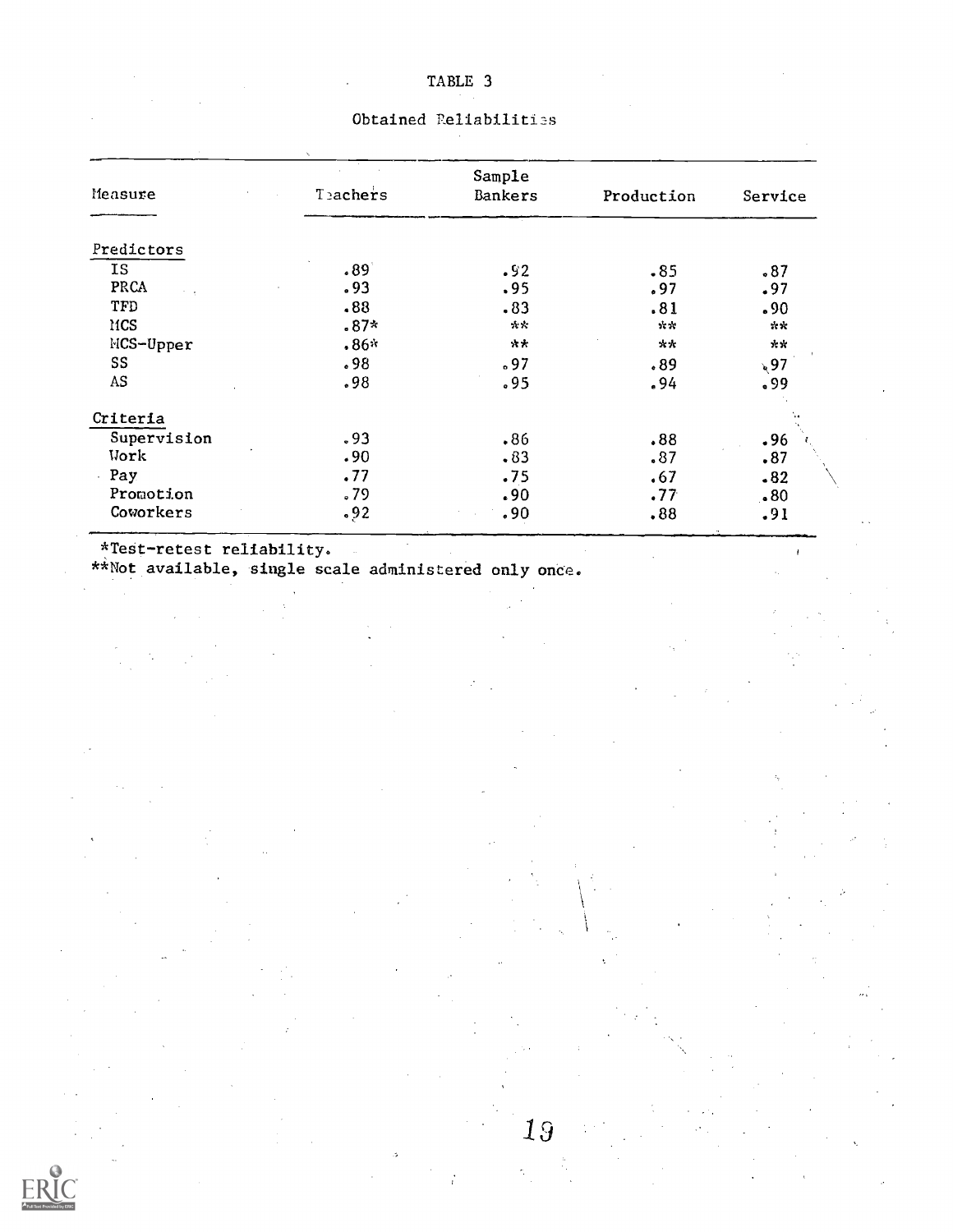## TABLE 3

|                        |          | Sample    |            |             |
|------------------------|----------|-----------|------------|-------------|
| Measure                | Teachers | Bankers   | Production | Service     |
| Predictors             |          |           |            |             |
| <b>IS</b>              | .89      | .92       | .85        | .87         |
| PRCA<br>$\sim$         | .93      | .95       | .97        | .97         |
| TFD                    | .88      | .83       | .81        | .90         |
| MCS                    | $.87*$   | $x \star$ | re re      | $**$        |
| MCS-Upper              | $.86*$   | **        | $**$       | $**$        |
| SS                     | .98      | .97       | .89        | $\sqrt{97}$ |
| $\mathbf{A}\mathbf{S}$ | .98      | .95       | .94        | .99         |
| Criteria               |          |           |            |             |
| Supervision            | .93      | .86       | .88        | .96         |
| Vork                   | .90      | .83       | .87        | .87         |
| Pay                    | .77      | .75       | .67        | $-82$       |
| Promotion              | .79      | .90       | .77        | .80         |
| Coworkers              | .92      | .90       | .88        | .91         |

19

## Obtained Reliabilities

\*TeSt-retest reliability.

\* \*Not available, single scale administered only once.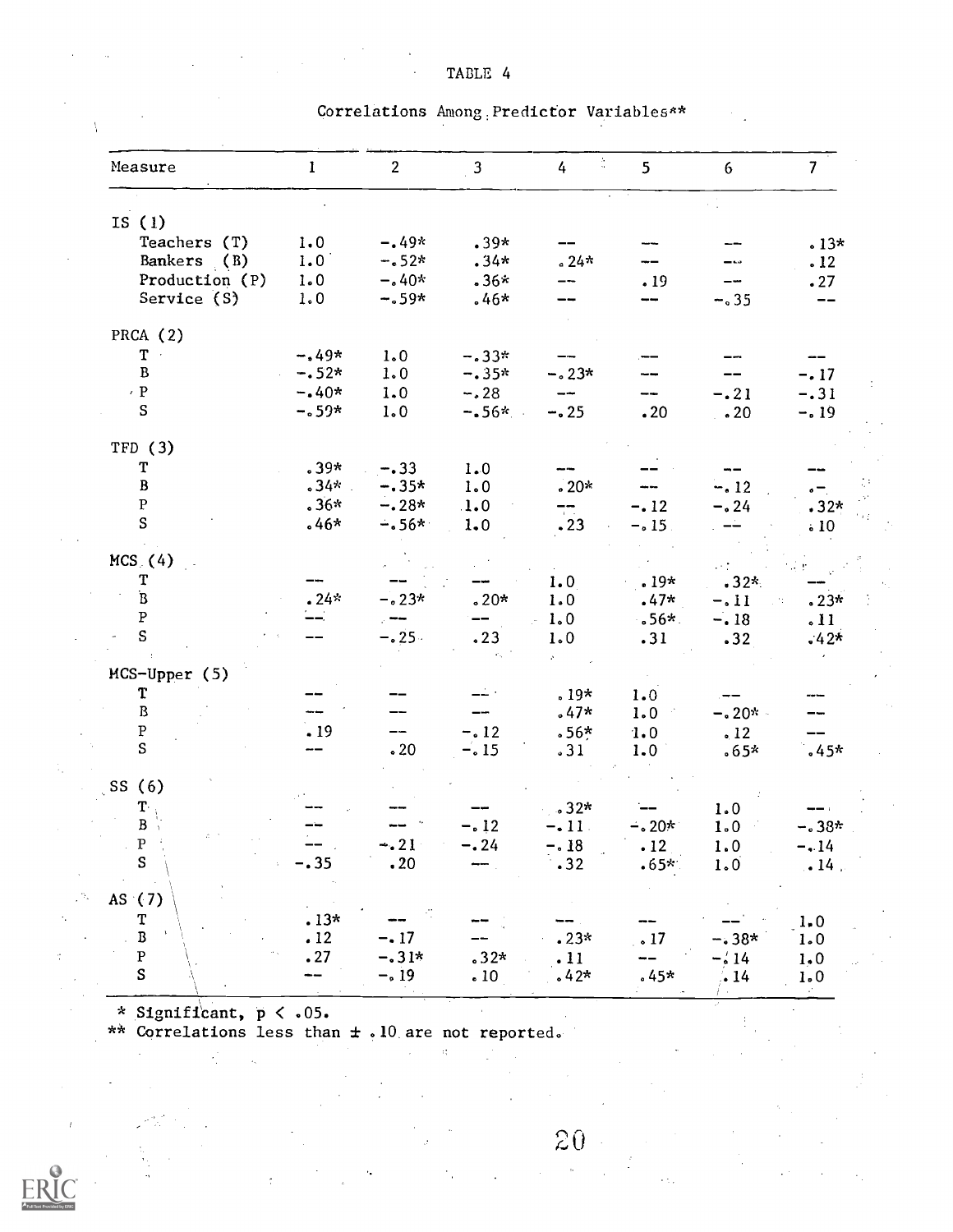| IS $(1)$                                                                              |        |        |
|---------------------------------------------------------------------------------------|--------|--------|
| Teachers (T)<br>$-.49*$<br>1.0<br>$.39*$                                              |        | $.13*$ |
| 1.0<br>Bankers (B)<br>$-52*$<br>$.34*$<br>$24*$                                       | mas.   | .12    |
| Production $(P)$<br>1.0<br>$-.40*$<br>$.36*$<br>.19<br>$\qquad \qquad -$              |        | .27    |
| Service (S)<br>1.0<br>$-.59*$<br>$.46*$                                               | $-.35$ |        |
| PRCA (2)                                                                              |        |        |
|                                                                                       |        |        |
| T<br>$-49*$<br>1.0<br>$-.33*$<br>$\, {\bf B}$<br>$-.52*$<br>$-.35*$<br>$-.23*$<br>1.0 |        | $-17$  |

 $P$  -.40\* 1.0 -.28 -- -- -.21 -.31 S -.59\* 1.0 -.56\* -.25 .20 .20 -.19

B .34\* -.35\* 1.0 .20\* -- -.12 .- .1 P  $.36*$   $-.28*$   $.1.0$   $-.12$   $-.24$   $.32*$ S .46\* -.56\* 1.0 .23 -.15 -- .10

 $T$  .39\* -.33 1.0 -- -- -- -

TABLE 4

 $MCS<sub>2</sub>(4)$  $\mathcal{O}(\mathbb{R})$ T  $1.0$   $19*$   $32*$   $-$ B .24\*  $-23*$  .20\* 1.0 .47\*  $-11$  .23\*  $P$   $-24^x$   $-23^x$   $-20^x$   $-1.0$   $-47^x$   $-11$   $-23^x$ <br> $P$   $-1$   $-1.0$   $-56^x$   $-18$   $-11$ S -- -25 .23 1.0 .31 .32 .42\*  $\mathcal{A}_{\mathcal{A}}$ HCS -Upper (5) T .19\* 1.0 B .47\* 1.0 -.20\* P .19 -- -12 .56\* 1.0 .12 --S .20 -.15 .31 1.0 .65\* .45\* SS (6) T.  $.32*$  -- 1.0 --<br>-.11 -.20\* 1.0 -.38\* B  $11$   $20$ \*  $1.0$   $38$ \* P  $-21$   $-24$   $-18$   $-12$   $1.0$   $-14$ S  $-35$   $-20$   $-32$   $-65$   $1.0$   $14$ AS  $(7)$ T .13\* -- 1.0 B  $12 - 17 - - -$  .23\* .17  $-$  38\* 1.0 <sup>P</sup> .27 -.31\* .32\* .11 -14 1.0  $S \qquad \qquad -- \qquad -- \qquad -- \qquad .19 \qquad .10 \qquad .42* \qquad .45* \qquad .14 \qquad 1.0$ 

\* Significant,  $p < .05$ .

TFD (3)

\*\* Correlations less than  $\pm$  .10 are not reported.

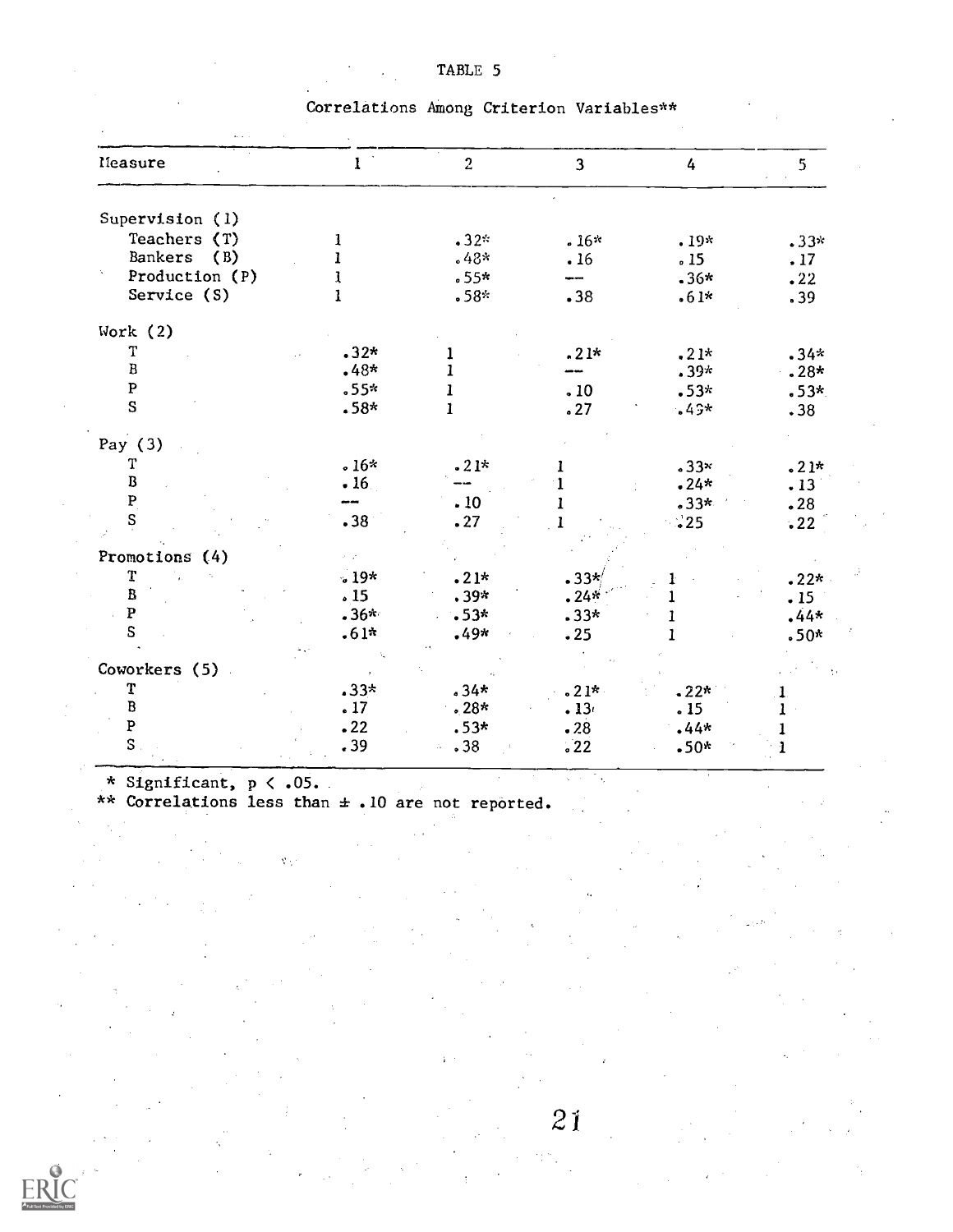## Correlations AMong Criterion Variables\*\*

| Neasure                   | $1^{\circ}$           | $\overline{2}$ | $\overline{3}$   | 4         | 5 <sub>5</sub> |
|---------------------------|-----------------------|----------------|------------------|-----------|----------------|
| Supervision (1)           |                       |                |                  |           |                |
| Teachers $(T)$            | 1                     | $.32*$         | $.16*$           | $.19*$    |                |
| Bankers (B)               | 1                     | $.48*$         |                  |           | $.33*$         |
| Production (P)            |                       |                | .16              | .15       | .17            |
|                           | ı                     | $.55*$         |                  | $-36*$    | .22            |
| Service (S)               |                       | $.58*$         | .38              | $.61*$    | .39            |
| Work $(2)$                |                       |                |                  |           |                |
| $\mathbf T$               | $.32*$                |                | $.21*$           | $.21*$    | $.34*$         |
| B                         | $.48*$                |                | ---              | $.39*$    | $\cdot$ . 28*  |
| $\, {\bf p}$              | $.55*$                | 1              | .10              | $.53*$    | $.53*$         |
| S                         | $.58*$                | $\mathbf{I}$   | .27              | $.43*$    | .38            |
| Pay $(3)$                 |                       |                |                  |           |                |
| Т                         | $.16*$                | $.21*$         |                  | $.33*$    | $.21*$         |
| $\, {\bf B}$              | .16                   |                |                  | $.24*$    | .13            |
|                           |                       | .10            |                  | $.33*$    | .28            |
| $\frac{P}{S}$             | .38 <sup>°</sup>      | .27            |                  | $\sim$ 25 | .22            |
|                           |                       |                |                  |           |                |
| Promotions (4)            | $\sigma = \sqrt{2}$ . |                |                  |           |                |
| $\mathbf T$               | $.19*$                | $.21*$         | $.33*$           |           | $.22*$         |
| $\bf B$                   | .15                   | $.39*$         | $.24*$           |           | .15            |
| $\mathbf P$               | $.36*$                | $.53*$         | $.33*$           |           | $.44*$         |
| S                         | $.61*$                | $.49*$         | .25              |           | $.50*$         |
|                           |                       |                |                  |           |                |
| Coworkers (5)             |                       |                |                  |           | $\Delta\tau$   |
| $\mathbf T$               | $.33*$                | $.34*$         | $.21*$           | $-22*$    |                |
| $\, {\bf B}$              | $\cdot$ 17            | $.28*$         | .13 <sub>0</sub> | .15       |                |
| $\, {\bf p}$              | .22                   | $.53*$         | .28              | $.44*$    |                |
| $\overline{\mathbf{S}}$ . | .39                   | $\sim$ 38      | .22              | $.50*$    |                |

\* Significant, p < .05.

\*\* Correlations less than  $\pm$  .10 are not reported.

 $\hat{\nabla} \hat{\psi}$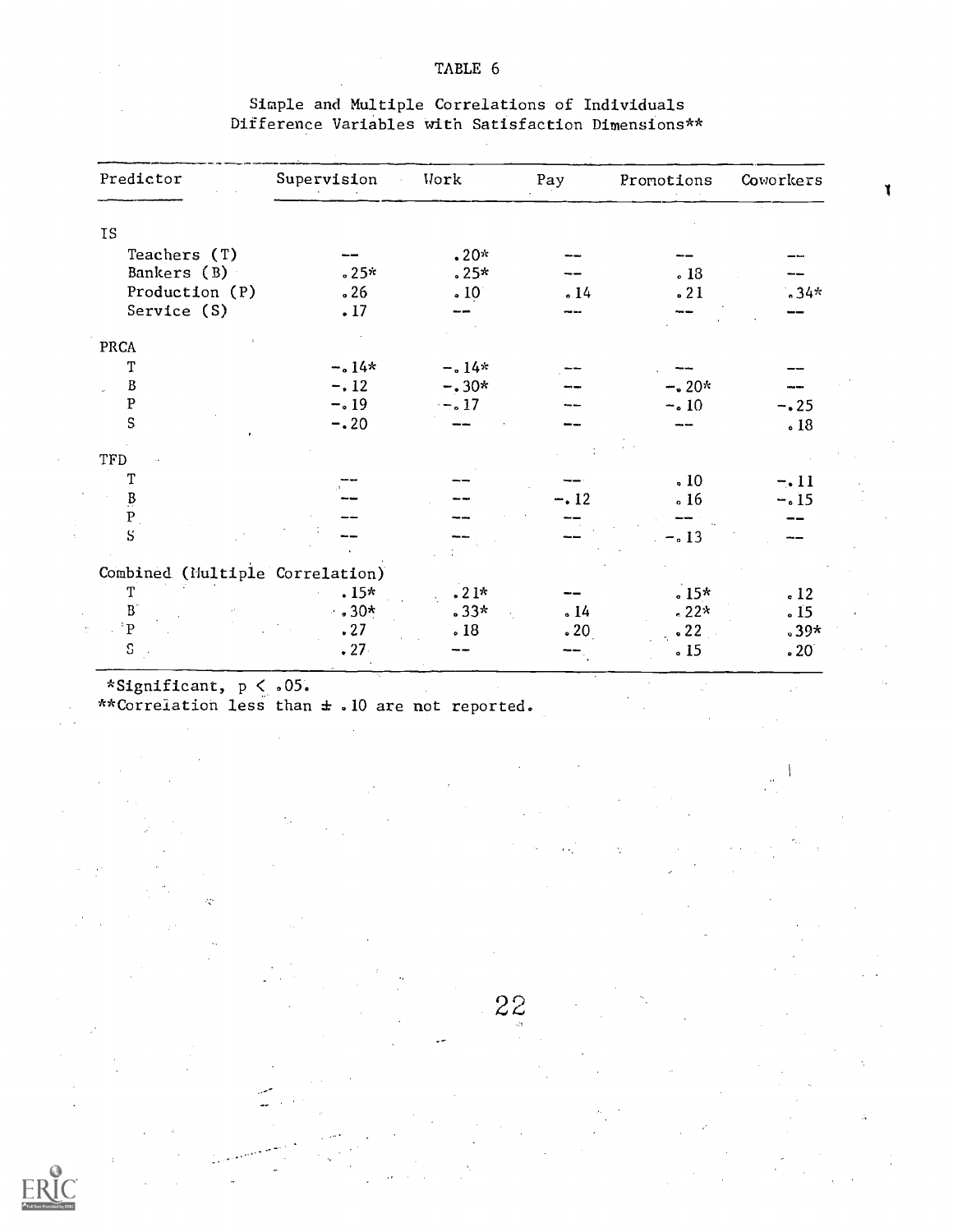| Predictor                       | Supervision   | Work       | Pay        | Promotions | Coworkers        |
|---------------------------------|---------------|------------|------------|------------|------------------|
|                                 |               |            |            |            |                  |
| $\mathtt{IS}$                   |               |            |            |            |                  |
| Teachers (T)                    |               | $.20*$     |            |            |                  |
| Bankers (B)                     | $.25*$        | $.25*$     |            | $\cdot$ 18 |                  |
| Production (P)                  | .26           | $\cdot$ 10 | .14        | .21        | $.34*$           |
| Service (S)                     | .17           |            |            |            |                  |
|                                 |               |            |            |            |                  |
| PRCA                            |               |            |            |            |                  |
| T                               | $-14*$        | $-.14*$    |            |            |                  |
| B                               | $-.12$        | $-.30*$    |            | $-.20*$    |                  |
| ${\bf P}$                       | $-.19$        | $-0.17$    |            | $- 10$     | $-.25$           |
| S                               | $-.20$        |            |            |            | .18              |
|                                 |               |            |            |            |                  |
| TFD                             |               |            |            |            |                  |
| T                               |               |            |            | .10        | $-.11$           |
| $\frac{B}{P}$                   |               |            | $-.12$     | $\cdot$ 16 | $-.15$           |
|                                 |               |            |            |            |                  |
| $\overline{\mathbf{s}}$         |               |            |            | $-13$      |                  |
|                                 |               |            |            |            |                  |
| Combined (Hultiple Correlation) |               |            |            |            |                  |
| T                               | $.15*$        | $.21*$     |            | $.15*$     | .12              |
| B                               | $\cdot$ . 30* | $.33*$     | .14        | $.22*$     | .15              |
| $^{\circ}P$                     | .27           | .18        | $\cdot 20$ | $\cdot$ 22 | $.39*$           |
| $\mathbb S$                     | .27.          |            |            | $\cdot$ 15 | $\cdot 20^\circ$ |

22

## Simple and Multiple Correlations of Individuals Difference Variables with Satisfaction Dimensions\*\*

\*Significant, p < .05.

\*\*Correlation less than ± .10 are not reported.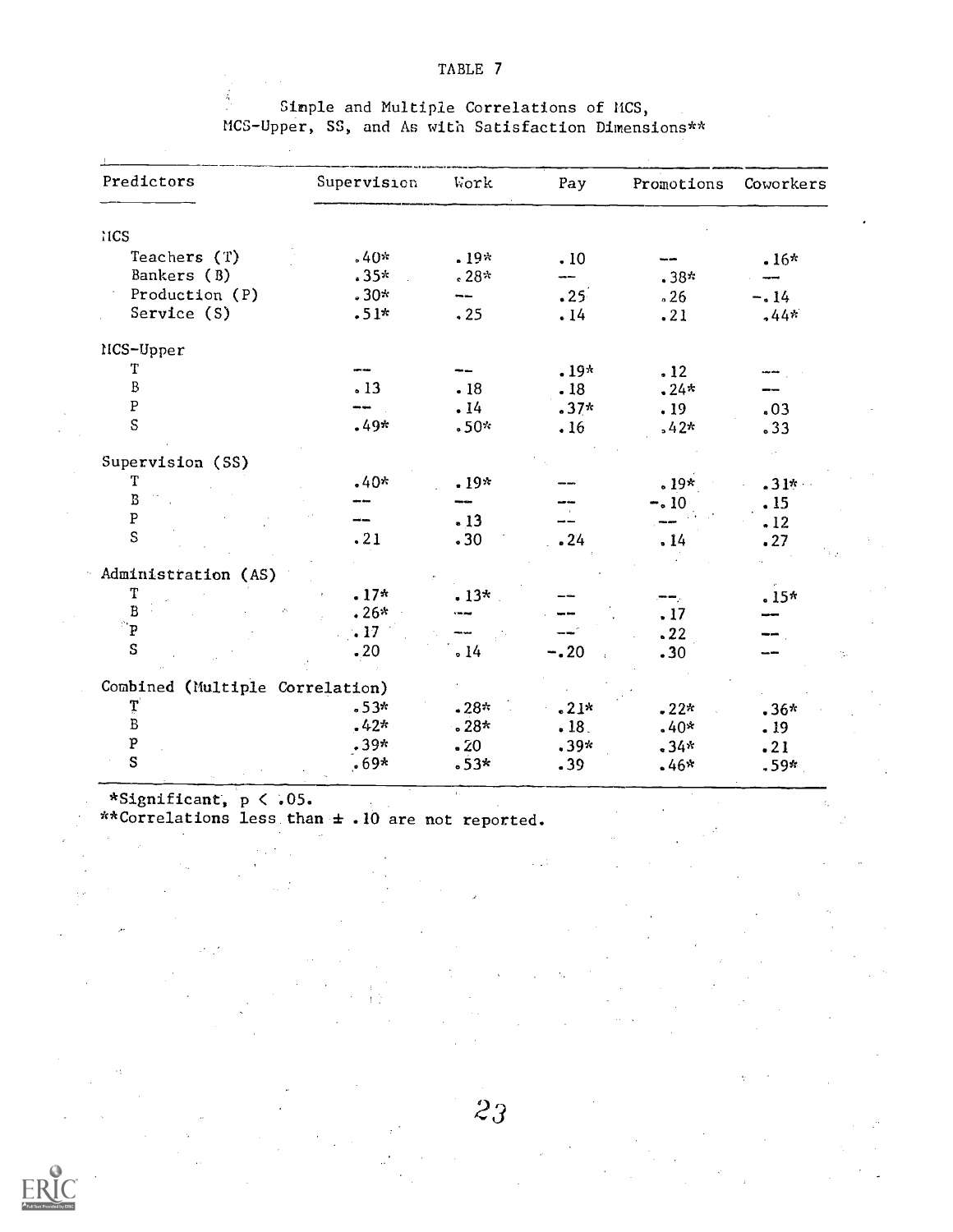| Predictors                      | Supervision | Work       | Pay              | Promotions  | Coworkers |
|---------------------------------|-------------|------------|------------------|-------------|-----------|
| :ICS                            |             |            |                  |             |           |
| Teachers (T)                    | $.40*$      | $.19*$     | .10              |             | $.16*$    |
| Bankers (B)                     | $.35*$      | $.28*$     | $- -$            | $.38*$      |           |
| Production (P)                  | $.30*$      | $---$      | .25 <sup>2</sup> | $\sqrt{26}$ | $-14$     |
| Service (S)                     | $.51*$      | .25        | .14              | .21         | $.44*$    |
| NCS-Upper                       |             |            |                  |             |           |
| T                               |             |            | $.19*$           | .12         |           |
| $\, {\bf B}$                    | .13         | .18        | .18              | $.24*$      |           |
| $\, {\bf P}$                    |             | .14        | $.37*$           | .19         | .03       |
| $\overline{S}$                  | $.49*$      | $.50*$     | .16              | $.42*$      | .33       |
| Supervision (SS)                |             |            |                  |             |           |
| Т                               | $.40*$      | $.19*$     |                  | $.19*$      | $.31*$    |
| $\, {\bf B}$                    |             |            |                  | $-.10$      | .15       |
| ${\bf P}$                       |             | .13        |                  |             | .12       |
| $\overline{\mathbf{s}}$         | .21         | .30        | $\cdot$ 24       | .14         | .27       |
| Administration (AS)             |             |            |                  |             |           |
| $\mathbf T$                     | $.17*$      | $.13*$     |                  | ⊷.          | $.15*$    |
| B                               | $.26*$      |            |                  | .17         |           |
| $^{\circ}$ P                    | .17         |            |                  | .22         |           |
| $\mathbf S$                     | .20         | .14        | $-.20$           | .30         |           |
| Combined (Multiple Correlation) |             |            |                  |             |           |
| $\mathbf{\tilde{L}}$            | $.53*$      | $-28*$     | $.21*$           | $.22*$      | $.36*$    |
| $\, {\bf B}$                    | $.42*$      | $.28*$     | .18.             | $.40*$      | .19       |
| $\, {\bf p}$                    | $.39*$      | $\cdot 20$ | $.39*$           | $.34*$      | .21       |
| $\overline{\mathbf{s}}$         | $.69*$      | $.53*$     | .39              | $.46*$      | $.59*$    |

## $\tilde{\tilde{A}}$  ${\tt Simple}$  and Multiple Correlations of MCS,  ${\tt CSP}$ MCS-Upper, SS, and As with Satisfaction Dimensions\*\*

\*Significant, p <  $\texttt{**Correlations}$  less than  $\pm$  .10 are not reported.



23

ΨÚ